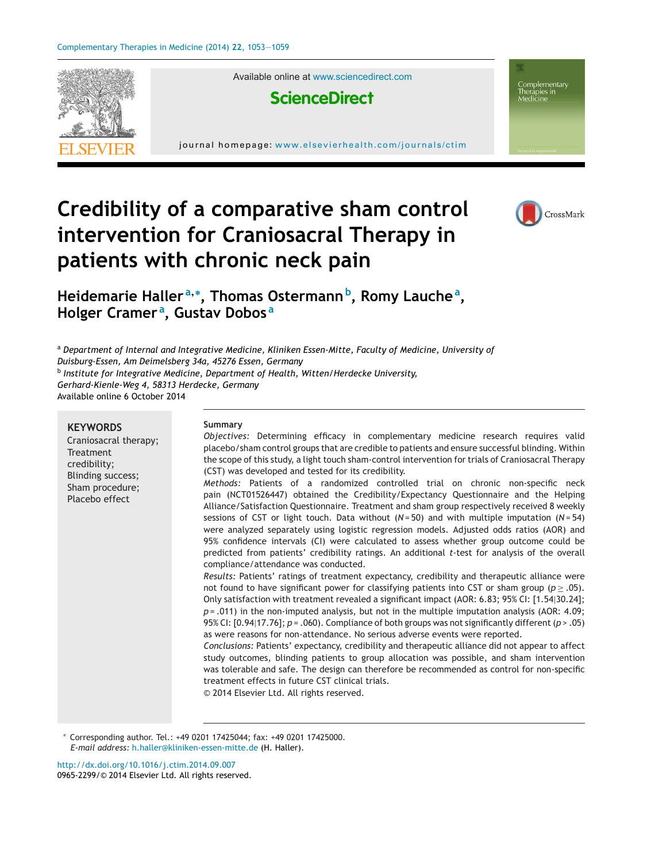

Available online at [www.sciencedirect.com](http://www.sciencedirect.com/science/journal/09652299)



journal homepage: <www.elsevierhealth.com/journals/ctim>



Complementary Therapies in<br>Medicine

# **Credibility of a comparative sham control intervention for Craniosacral Therapy in patients with chronic neck pain**

**Heidemarie Haller <sup>a</sup>,<sup>∗</sup> , Thomas Ostermannb, Romy Lauche<sup>a</sup> , Holger Cramer <sup>a</sup> , Gustav Dobos <sup>a</sup>**

<sup>a</sup> *Department of Internal and Integrative Medicine, Kliniken Essen-Mitte, Faculty of Medicine, University of Duisburg-Essen, Am Deimelsberg 34a, 45276 Essen, Germany* <sup>b</sup> *Institute for Integrative Medicine, Department of Health, Witten/Herdecke University, Gerhard-Kienle-Weg 4, 58313 Herdecke, Germany*

Available online 6 October 2014

#### **KEYWORDS** Craniosacral therapy; Treatment credibility; Blinding success; Sham procedure; Placebo effect **Summary** *Objectives:* Determining efficacy in complementary medicine research requires valid placebo/sham control groups that are credible to patients and ensure successful blinding. Within the scope of this study, a light touch sham-control intervention for trials of Craniosacral Therapy (CST) was developed and tested for its credibility. *Methods:* Patients of a randomized controlled trial on chronic non-specific neck pain (NCT01526447) obtained the Credibility/Expectancy Questionnaire and the Helping Alliance/Satisfaction Questionnaire. Treatment and sham group respectively received 8 weekly sessions of CST or light touch. Data without (*N* = 50) and with multiple imputation (*N* = 54) were analyzed separately using logistic regression models. Adjusted odds ratios (AOR) and 95% confidence intervals (CI) were calculated to assess whether group outcome could be predicted from patients' credibility ratings. An additional *t*-test for analysis of the overall compliance/attendance was conducted. *Results:* Patients' ratings of treatment expectancy, credibility and therapeutic alliance were not found to have significant power for classifying patients into CST or sham group ( $p \ge .05$ ). Only satisfaction with treatment revealed a significant impact (AOR: 6.83; 95% CI: [1.54|30.24]; *p* = .011) in the non-imputed analysis, but not in the multiple imputation analysis (AOR: 4.09; 95% CI: [0.94|17.76]; *p* = .060). Compliance of both groups was not significantly different (*p* > .05) as were reasons for non-attendance. No serious adverse events were reported. *Conclusions:* Patients' expectancy, credibility and therapeutic alliance did not appear to affect study outcomes, blinding patients to group allocation was possible, and sham intervention was tolerable and safe. The design can therefore be recommended as control for non-specific treatment effects in future CST clinical trials. © 2014 Elsevier Ltd. All rights reserved.

∗ Corresponding author. Tel.: +49 0201 17425044; fax: +49 0201 17425000. *E-mail address:* [h.haller@kliniken-essen-mitte.de](mailto:h.haller@kliniken-essen-mitte.de) (H. Haller).

[http://dx.doi.org/10.1016/j.ctim.2014.09.007](dx.doi.org/10.1016/j.ctim.2014.09.007) 0965-2299/© 2014 Elsevier Ltd. All rights reserved.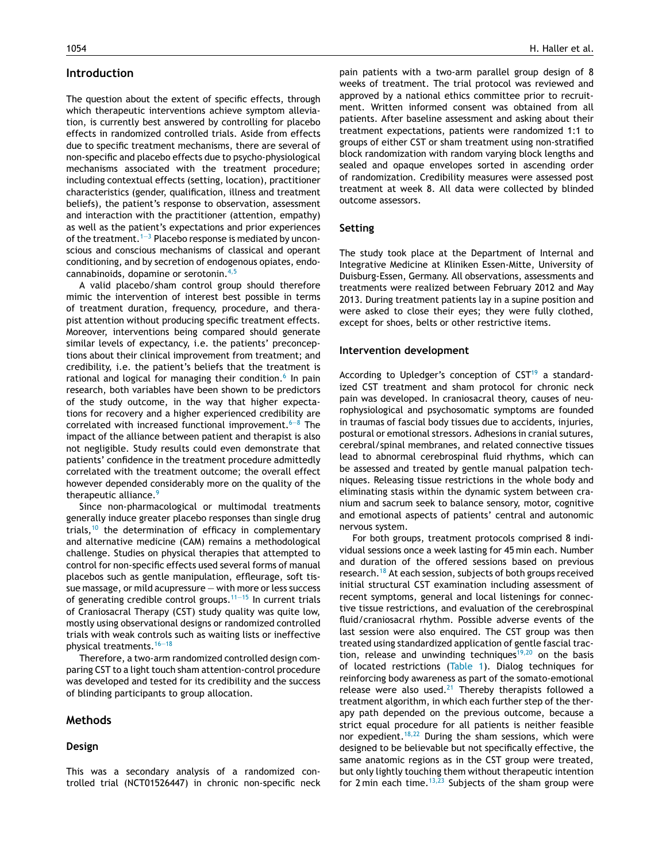## **Introduction**

The question about the extent of specific effects, through which therapeutic interventions achieve symptom alleviation, is currently best answered by controlling for placebo effects in randomized controlled trials. Aside from effects due to specific treatment mechanisms, there are several of non-specific and placebo effects due to psycho-physiological mechanisms associated with the treatment procedure; including contextual effects (setting, location), practitioner characteristics (gender, qualification, illness and treatment beliefs), the patient's response to observation, assessment and interaction with the practitioner (attention, empathy) as well as the patient's expectations and prior experiences of the treatment.<sup>1-3</sup> Placebo response is mediated by unconscious and conscious mechanisms of classical and operant conditioning, and by secretion of endogenous opiates, endocannabinoids, dopamine or serotonin.[4,5](#page-5-0)

A valid placebo/sham control group should therefore mimic the intervention of interest best possible in terms of treatment duration, frequency, procedure, and therapist attention without producing specific treatment effects. Moreover, interventions being compared should generate similar levels of expectancy, i.e. the patients' preconceptions about their clinical improvement from treatment; and credibility, i.e. the patient's beliefs that the treatment is rational and logical for managing their condition.<sup>[6](#page-5-0)</sup> In pain research, both variables have been shown to be predictors of the study outcome, in the way that higher expectations for recovery and a higher experienced credibility are correlated with increased functional improvement.<sup> $6-8$ </sup> The impact of the alliance between patient and therapist is also not negligible. Study results could even demonstrate that patients' confidence in the treatment procedure admittedly correlated with the treatment outcome; the overall effect however depended considerably more on the quality of the therapeutic alliance.<sup>[9](#page-5-0)</sup>

Since non-pharmacological or multimodal treatments generally induce greater placebo responses than single drug trials, $10$  the determination of efficacy in complementary and alternative medicine (CAM) remains a methodological challenge. Studies on physical therapies that attempted to control for non-specific effects used several forms of manual placebos such as gentle manipulation, effleurage, soft tissue massage, or mild acupressure — with more or less success of generating credible control groups.<sup>11–15</sup> In current trials of Craniosacral Therapy (CST) study quality was quite low, mostly using observational designs or randomized controlled trials with weak controls such as waiting lists or ineffective physical treatments.[16—18](#page-5-0)

Therefore, a two-arm randomized controlled design comparing CST to a light touch sham attention-control procedure was developed and tested for its credibility and the success of blinding participants to group allocation.

## **Methods**

#### **Design**

pain patients with a two-arm parallel group design of 8 weeks of treatment. The trial protocol was reviewed and approved by a national ethics committee prior to recruitment. Written informed consent was obtained from all patients. After baseline assessment and asking about their treatment expectations, patients were randomized 1:1 to groups of either CST or sham treatment using non-stratified block randomization with random varying block lengths and sealed and opaque envelopes sorted in ascending order of randomization. Credibility measures were assessed post treatment at week 8. All data were collected by blinded outcome assessors.

### **Setting**

The study took place at the Department of Internal and Integrative Medicine at Kliniken Essen-Mitte, University of Duisburg-Essen, Germany. All observations, assessments and treatments were realized between February 2012 and May 2013. During treatment patients lay in a supine position and were asked to close their eyes; they were fully clothed, except for shoes, belts or other restrictive items.

#### **Intervention development**

According to Upledger's conception of  $CST<sup>19</sup>$  $CST<sup>19</sup>$  $CST<sup>19</sup>$  a standardized CST treatment and sham protocol for chronic neck pain was developed. In craniosacral theory, causes of neurophysiological and psychosomatic symptoms are founded in traumas of fascial body tissues due to accidents, injuries, postural or emotional stressors. Adhesions in cranial sutures, cerebral/spinal membranes, and related connective tissues lead to abnormal cerebrospinal fluid rhythms, which can be assessed and treated by gentle manual palpation techniques. Releasing tissue restrictions in the whole body and eliminating stasis within the dynamic system between cranium and sacrum seek to balance sensory, motor, cognitive and emotional aspects of patients' central and autonomic nervous system.

For both groups, treatment protocols comprised 8 individual sessions once a week lasting for 45 min each. Number and duration of the offered sessions based on previous research.[18](#page-5-0) At each session, subjects of both groups received initial structural CST examination including assessment of recent symptoms, general and local listenings for connective tissue restrictions, and evaluation of the cerebrospinal fluid/craniosacral rhythm. Possible adverse events of the last session were also enquired. The CST group was then treated using standardized application of gentle fascial trac-tion, release and unwinding techniques<sup>[19,20](#page-5-0)</sup> on the basis of located restrictions ([Table](#page-2-0) 1). Dialog techniques for reinforcing body awareness as part of the somato-emotional release were also used. $21$  Thereby therapists followed a treatment algorithm, in which each further step of the therapy path depended on the previous outcome, because a strict equal procedure for all patients is neither feasible nor expedient.<sup>[18,22](#page-5-0)</sup> During the sham sessions, which were designed to be believable but not specifically effective, the same anatomic regions as in the CST group were treated, but only lightly touching them without therapeutic intention for 2 min each time.<sup>[13,23](#page-5-0)</sup> Subjects of the sham group were

This was a secondary analysis of a randomized controlled trial (NCT01526447) in chronic non-specific neck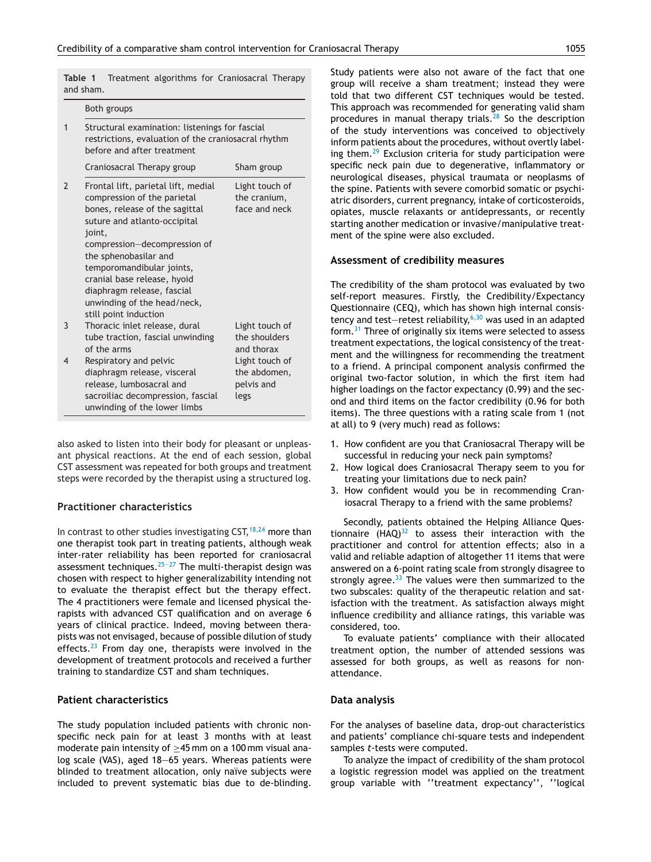<span id="page-2-0"></span>**Table 1** Treatment algorithms for Craniosacral Therapy and sham.

|               | Both groups                                                                                                                                                                                                                                                                                                                                               |                                                      |  |  |  |
|---------------|-----------------------------------------------------------------------------------------------------------------------------------------------------------------------------------------------------------------------------------------------------------------------------------------------------------------------------------------------------------|------------------------------------------------------|--|--|--|
| $\mathbf{1}$  | Structural examination: listenings for fascial<br>restrictions, evaluation of the craniosacral rhythm<br>before and after treatment                                                                                                                                                                                                                       |                                                      |  |  |  |
|               | Craniosacral Therapy group                                                                                                                                                                                                                                                                                                                                | Sham group                                           |  |  |  |
| $\mathcal{P}$ | Frontal lift, parietal lift, medial<br>compression of the parietal<br>bones, release of the sagittal<br>suture and atlanto-occipital<br>joint,<br>compression-decompression of<br>the sphenobasilar and<br>temporomandibular joints,<br>cranial base release, hyoid<br>diaphragm release, fascial<br>unwinding of the head/neck,<br>still point induction | Light touch of<br>the cranium,<br>face and neck      |  |  |  |
| 3             | Thoracic inlet release, dural<br>tube traction, fascial unwinding<br>of the arms                                                                                                                                                                                                                                                                          | Light touch of<br>the shoulders<br>and thorax        |  |  |  |
| 4             | Respiratory and pelvic<br>diaphragm release, visceral<br>release, lumbosacral and<br>sacroiliac decompression, fascial<br>unwinding of the lower limbs                                                                                                                                                                                                    | Light touch of<br>the abdomen,<br>pelvis and<br>legs |  |  |  |

also asked to listen into their body for pleasant or unpleasant physical reactions. At the end of each session, global CST assessment was repeated for both groups and treatment steps were recorded by the therapist using a structured log.

## **Practitioner characteristics**

In contrast to other studies investigating CST,  $18,24$  more than one therapist took part in treating patients, although weak inter-rater reliability has been reported for craniosacral assessment techniques. $25-27$  The multi-therapist design was chosen with respect to higher generalizability intending not to evaluate the therapist effect but the therapy effect. The 4 practitioners were female and licensed physical therapists with advanced CST qualification and on average 6 years of clinical practice. Indeed, moving between therapists was not envisaged, because of possible dilution of study effects. $23$  From day one, therapists were involved in the development of treatment protocols and received a further training to standardize CST and sham techniques.

#### **Patient characteristics**

The study population included patients with chronic nonspecific neck pain for at least 3 months with at least moderate pain intensity of ≥45 mm on a 100 mm visual analog scale (VAS), aged 18—65 years. Whereas patients were blinded to treatment allocation, only naïve subjects were included to prevent systematic bias due to de-blinding.

Study patients were also not aware of the fact that one group will receive a sham treatment; instead they were told that two different CST techniques would be tested. This approach was recommended for generating valid sham procedures in manual therapy trials.<sup>[28](#page-5-0)</sup> So the description of the study interventions was conceived to objectively inform patients about the procedures, without overtly labeling them. $29$  Exclusion criteria for study participation were specific neck pain due to degenerative, inflammatory or neurological diseases, physical traumata or neoplasms of the spine. Patients with severe comorbid somatic or psychiatric disorders, current pregnancy, intake of corticosteroids, opiates, muscle relaxants or antidepressants, or recently starting another medication or invasive/manipulative treatment of the spine were also excluded.

#### **Assessment of credibility measures**

The credibility of the sham protocol was evaluated by two self-report measures. Firstly, the Credibility/Expectancy Questionnaire (CEQ), which has shown high internal consistency and test-retest reliability,  $6,30$  was used in an adapted form.[31](#page-5-0) Three of originally six items were selected to assess treatment expectations, the logical consistency of the treatment and the willingness for recommending the treatment to a friend. A principal component analysis confirmed the original two-factor solution, in which the first item had higher loadings on the factor expectancy (0.99) and the second and third items on the factor credibility (0.96 for both items). The three questions with a rating scale from 1 (not at all) to 9 (very much) read as follows:

- 1. How confident are you that Craniosacral Therapy will be successful in reducing your neck pain symptoms?
- 2. How logical does Craniosacral Therapy seem to you for treating your limitations due to neck pain?
- 3. How confident would you be in recommending Craniosacral Therapy to a friend with the same problems?

Secondly, patients obtained the Helping Alliance Questionnaire  $(HAQ)^{32}$  $(HAQ)^{32}$  $(HAQ)^{32}$  to assess their interaction with the practitioner and control for attention effects; also in a valid and reliable adaption of altogether 11 items that were answered on a 6-point rating scale from strongly disagree to strongly agree.<sup>[33](#page-5-0)</sup> The values were then summarized to the two subscales: quality of the therapeutic relation and satisfaction with the treatment. As satisfaction always might influence credibility and alliance ratings, this variable was considered, too.

To evaluate patients' compliance with their allocated treatment option, the number of attended sessions was assessed for both groups, as well as reasons for nonattendance.

#### **Data analysis**

For the analyses of baseline data, drop-out characteristics and patients' compliance chi-square tests and independent samples *t*-tests were computed.

To analyze the impact of credibility of the sham protocol a logistic regression model was applied on the treatment group variable with ''treatment expectancy'', ''logical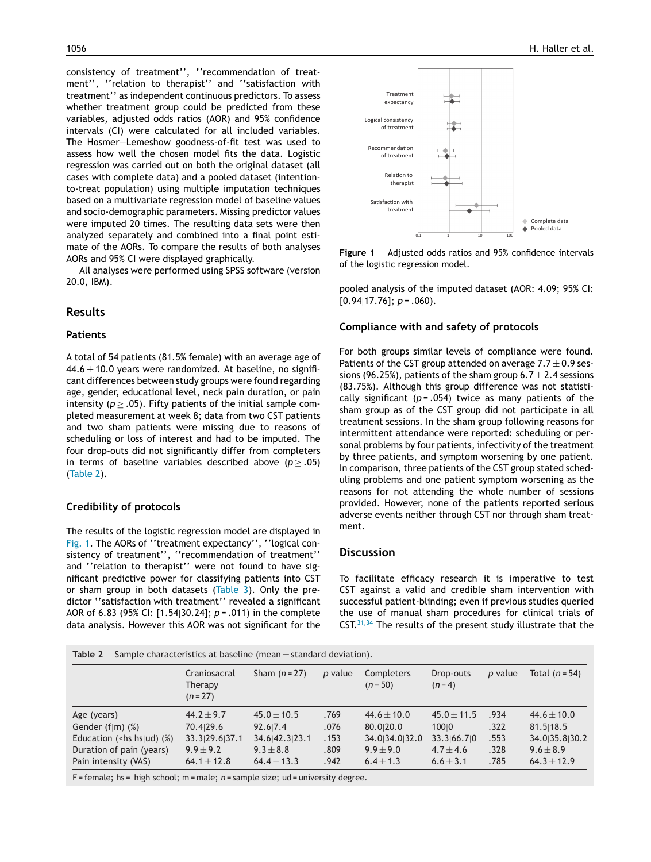consistency of treatment'', ''recommendation of treatment'', ''relation to therapist'' and ''satisfaction with treatment'' as independent continuous predictors. To assess whether treatment group could be predicted from these variables, adjusted odds ratios (AOR) and 95% confidence intervals (CI) were calculated for all included variables. The Hosmer—Lemeshow goodness-of-fit test was used to assess how well the chosen model fits the data. Logistic regression was carried out on both the original dataset (all cases with complete data) and a pooled dataset (intentionto-treat population) using multiple imputation techniques based on a multivariate regression model of baseline values and socio-demographic parameters. Missing predictor values were imputed 20 times. The resulting data sets were then analyzed separately and combined into a final point estimate of the AORs. To compare the results of both analyses AORs and 95% CI were displayed graphically.

All analyses were performed using SPSS software (version 20.0, IBM).

## **Results**

#### **Patients**

A total of 54 patients (81.5% female) with an average age of  $44.6 \pm 10.0$  years were randomized. At baseline, no significant differences between study groups were found regarding age, gender, educational level, neck pain duration, or pain intensity ( $p \geq .05$ ). Fifty patients of the initial sample completed measurement at week 8; data from two CST patients and two sham patients were missing due to reasons of scheduling or loss of interest and had to be imputed. The four drop-outs did not significantly differ from completers in terms of baseline variables described above ( $p \ge .05$ ) (Table 2).

## **Credibility of protocols**

The results of the logistic regression model are displayed in Fig. 1. The AORs of ''treatment expectancy'', ''logical consistency of treatment'', ''recommendation of treatment'' and ''relation to therapist'' were not found to have significant predictive power for classifying patients into CST or sham group in both datasets  $(Table 3)$  $(Table 3)$  $(Table 3)$ . Only the predictor ''satisfaction with treatment'' revealed a significant AOR of 6.83 (95% CI: [1.54|30.24]; *p* = .011) in the complete data analysis. However this AOR was not significant for the



**Figure 1** Adjusted odds ratios and 95% confidence intervals of the logistic regression model.

pooled analysis of the imputed dataset (AOR: 4.09; 95% CI: [0.94|17.76]; *p* = .060).

## **Compliance with and safety of protocols**

For both groups similar levels of compliance were found. Patients of the CST group attended on average  $7.7 \pm 0.9$  sessions (96.25%), patients of the sham group  $6.7 \pm 2.4$  sessions (83.75%). Although this group difference was not statistically significant  $(p = .054)$  twice as many patients of the sham group as of the CST group did not participate in all treatment sessions. In the sham group following reasons for intermittent attendance were reported: scheduling or personal problems by four patients, infectivity of the treatment by three patients, and symptom worsening by one patient. In comparison, three patients of the CST group stated scheduling problems and one patient symptom worsening as the reasons for not attending the whole number of sessions provided. However, none of the patients reported serious adverse events neither through CST nor through sham treatment.

## **Discussion**

To facilitate efficacy research it is imperative to test CST against a valid and credible sham intervention with successful patient-blinding; even if previous studies queried the use of manual sham procedures for clinical trials of CST.<sup>[31,34](#page-5-0)</sup> The results of the present study illustrate that the

|  | Table 2 Sample characteristics at baseline (mean $\pm$ standard deviation). |
|--|-----------------------------------------------------------------------------|
|--|-----------------------------------------------------------------------------|

|                                     | Craniosacral<br>Therapy<br>$(n = 27)$ | Sham $(n=27)$   | p value | Completers<br>$(n = 50)$ | Drop-outs<br>$(n=4)$ | p value | Total $(n=54)$  |
|-------------------------------------|---------------------------------------|-----------------|---------|--------------------------|----------------------|---------|-----------------|
| Age (years)                         | $44.2 + 9.7$                          | $45.0 \pm 10.5$ | .769    | $44.6 \pm 10.0$          | $45.0 \pm 11.5$      | .934    | $44.6 \pm 10.0$ |
| Gender $(f m)$ $(\%)$               | 70.4 29.6                             | 92.617.4        | .076    | 80.0 20.0                | 10010                | .322    | 81.5 18.5       |
| Education ( $\langle$ hs hs ud) (%) | 33.3 29.6 37.1                        | 34.6 42.3 23.1  | .153    | 34.0 34.0 32.0           | 33.3 66.7 0          | .553    | 34.035.830.2    |
| Duration of pain (years)            | $9.9 + 9.2$                           | $9.3 + 8.8$     | .809    | $9.9 \pm 9.0$            | $4.7 + 4.6$          | .328    | $9.6 \pm 8.9$   |
| Pain intensity (VAS)                | $64.1 \pm 12.8$                       | $64.4 \pm 13.3$ | .942    | $6.4 \pm 1.3$            | $6.6 \pm 3.1$        | .785    | $64.3 \pm 12.9$ |

F = female; hs = high school; m = male; *n* = sample size; ud = university degree.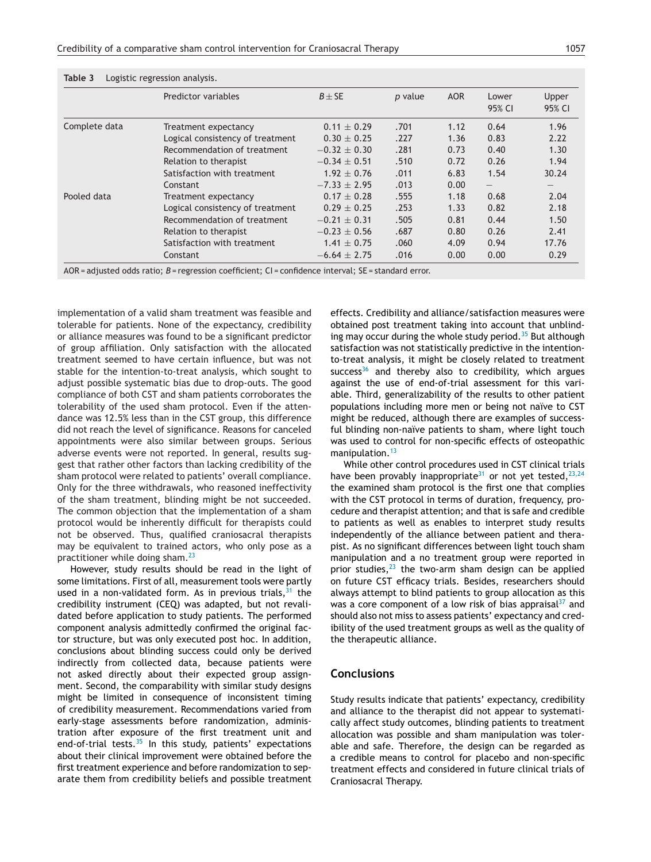|               | Predictor variables              | $B \pm SE$       | p value | <b>AOR</b> | Lower<br>95% CI          | Upper<br>95% CI                 |
|---------------|----------------------------------|------------------|---------|------------|--------------------------|---------------------------------|
| Complete data | Treatment expectancy             | $0.11 \pm 0.29$  | .701    | 1.12       | 0.64                     | 1.96                            |
|               | Logical consistency of treatment | $0.30 \pm 0.25$  | .227    | 1.36       | 0.83                     | 2.22                            |
|               | Recommendation of treatment      | $-0.32 \pm 0.30$ | .281    | 0.73       | 0.40                     | 1.30                            |
|               | Relation to therapist            | $-0.34 \pm 0.51$ | .510    | 0.72       | 0.26                     | 1.94                            |
|               | Satisfaction with treatment      | $1.92 \pm 0.76$  | .011    | 6.83       | 1.54                     | 30.24                           |
|               | Constant                         | $-7.33 \pm 2.95$ | .013    | 0.00       | $\overline{\phantom{0}}$ | $\hspace{0.1mm}-\hspace{0.1mm}$ |
| Pooled data   | Treatment expectancy             | $0.17 \pm 0.28$  | .555    | 1.18       | 0.68                     | 2.04                            |
|               | Logical consistency of treatment | $0.29 \pm 0.25$  | .253    | 1.33       | 0.82                     | 2.18                            |
|               | Recommendation of treatment      | $-0.21 \pm 0.31$ | .505    | 0.81       | 0.44                     | 1.50                            |
|               | Relation to therapist            | $-0.23 \pm 0.56$ | .687    | 0.80       | 0.26                     | 2.41                            |
|               | Satisfaction with treatment      | $1.41 \pm 0.75$  | .060    | 4.09       | 0.94                     | 17.76                           |
|               | Constant                         | $-6.64 \pm 2.75$ | .016    | 0.00       | 0.00                     | 0.29                            |

<span id="page-4-0"></span>**Table 3** Logistic regression analysis.

AOR = adjusted odds ratio; *B* = regression coefficient; CI = confidence interval; SE = standard error.

implementation of a valid sham treatment was feasible and tolerable for patients. None of the expectancy, credibility or alliance measures was found to be a significant predictor of group affiliation. Only satisfaction with the allocated treatment seemed to have certain influence, but was not stable for the intention-to-treat analysis, which sought to adjust possible systematic bias due to drop-outs. The good compliance of both CST and sham patients corroborates the tolerability of the used sham protocol. Even if the attendance was 12.5% less than in the CST group, this difference did not reach the level of significance. Reasons for canceled appointments were also similar between groups. Serious adverse events were not reported. In general, results suggest that rather other factors than lacking credibility of the sham protocol were related to patients' overall compliance. Only for the three withdrawals, who reasoned ineffectivity of the sham treatment, blinding might be not succeeded. The common objection that the implementation of a sham protocol would be inherently difficult for therapists could not be observed. Thus, qualified craniosacral therapists may be equivalent to trained actors, who only pose as a practitioner while doing sham.[23](#page-5-0)

However, study results should be read in the light of some limitations. First of all, measurement tools were partly used in a non-validated form. As in previous trials,  $31$  the credibility instrument (CEQ) was adapted, but not revalidated before application to study patients. The performed component analysis admittedly confirmed the original factor structure, but was only executed post hoc. In addition, conclusions about blinding success could only be derived indirectly from collected data, because patients were not asked directly about their expected group assignment. Second, the comparability with similar study designs might be limited in consequence of inconsistent timing of credibility measurement. Recommendations varied from early-stage assessments before randomization, administration after exposure of the first treatment unit and end-of-trial tests. $35$  In this study, patients' expectations about their clinical improvement were obtained before the first treatment experience and before randomization to separate them from credibility beliefs and possible treatment effects. Credibility and alliance/satisfaction measures were obtained post treatment taking into account that unblinding may occur during the whole study period. $35$  But although satisfaction was not statistically predictive in the intentionto-treat analysis, it might be closely related to treatment success<sup>[36](#page-6-0)</sup> and thereby also to credibility, which argues against the use of end-of-trial assessment for this variable. Third, generalizability of the results to other patient populations including more men or being not naïve to CST might be reduced, although there are examples of successful blinding non-naïve patients to sham, where light touch was used to control for non-specific effects of osteopathic manipulation.<sup>[13](#page-5-0)</sup>

While other control procedures used in CST clinical trials have been provably inappropriate<sup>[31](#page-5-0)</sup> or not yet tested,  $23,24$ the examined sham protocol is the first one that complies with the CST protocol in terms of duration, frequency, procedure and therapist attention; and that is safe and credible to patients as well as enables to interpret study results independently of the alliance between patient and therapist. As no significant differences between light touch sham manipulation and a no treatment group were reported in prior studies, $23$  the two-arm sham design can be applied on future CST efficacy trials. Besides, researchers should always attempt to blind patients to group allocation as this was a core component of a low risk of bias appraisal $37$  and should also not miss to assess patients' expectancy and credibility of the used treatment groups as well as the quality of the therapeutic alliance.

## **Conclusions**

Study results indicate that patients' expectancy, credibility and alliance to the therapist did not appear to systematically affect study outcomes, blinding patients to treatment allocation was possible and sham manipulation was tolerable and safe. Therefore, the design can be regarded as a credible means to control for placebo and non-specific treatment effects and considered in future clinical trials of Craniosacral Therapy.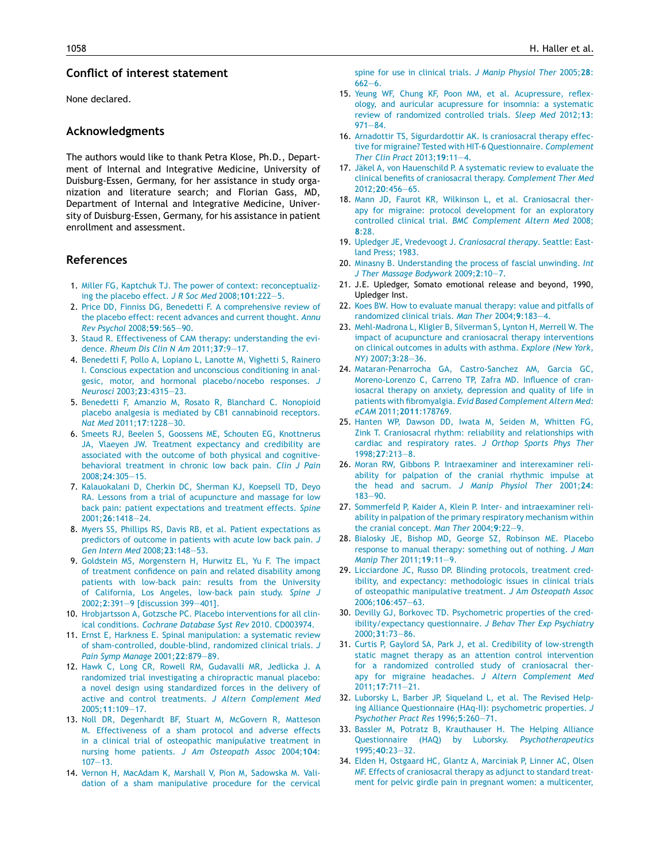## <span id="page-5-0"></span>**Conflict of interest statement**

None declared.

# **Acknowledgments**

The authors would like to thank Petra Klose, Ph.D., Department of Internal and Integrative Medicine, University of Duisburg-Essen, Germany, for her assistance in study organization and literature search; and Florian Gass, MD, Department of Internal and Integrative Medicine, University of Duisburg-Essen, Germany, for his assistance in patient enrollment and assessment.

# **References**

- 1. [Miller](http://refhub.elsevier.com/S0965-2299(14)00152-6/sbref0005) [FG,](http://refhub.elsevier.com/S0965-2299(14)00152-6/sbref0005) [Kaptchuk](http://refhub.elsevier.com/S0965-2299(14)00152-6/sbref0005) [TJ.](http://refhub.elsevier.com/S0965-2299(14)00152-6/sbref0005) [The](http://refhub.elsevier.com/S0965-2299(14)00152-6/sbref0005) [power](http://refhub.elsevier.com/S0965-2299(14)00152-6/sbref0005) [of](http://refhub.elsevier.com/S0965-2299(14)00152-6/sbref0005) [context:](http://refhub.elsevier.com/S0965-2299(14)00152-6/sbref0005) [reconceptualiz](http://refhub.elsevier.com/S0965-2299(14)00152-6/sbref0005)[ing](http://refhub.elsevier.com/S0965-2299(14)00152-6/sbref0005) [the](http://refhub.elsevier.com/S0965-2299(14)00152-6/sbref0005) [placebo](http://refhub.elsevier.com/S0965-2299(14)00152-6/sbref0005) [effect.](http://refhub.elsevier.com/S0965-2299(14)00152-6/sbref0005) *[J](http://refhub.elsevier.com/S0965-2299(14)00152-6/sbref0005) [R](http://refhub.elsevier.com/S0965-2299(14)00152-6/sbref0005) [Soc](http://refhub.elsevier.com/S0965-2299(14)00152-6/sbref0005) [Med](http://refhub.elsevier.com/S0965-2299(14)00152-6/sbref0005)* [2008;](http://refhub.elsevier.com/S0965-2299(14)00152-6/sbref0005)**[101](http://refhub.elsevier.com/S0965-2299(14)00152-6/sbref0005)**[:222](http://refhub.elsevier.com/S0965-2299(14)00152-6/sbref0005)—[5.](http://refhub.elsevier.com/S0965-2299(14)00152-6/sbref0005)
- 2. [Price](http://refhub.elsevier.com/S0965-2299(14)00152-6/sbref0010) [DD,](http://refhub.elsevier.com/S0965-2299(14)00152-6/sbref0010) [Finniss](http://refhub.elsevier.com/S0965-2299(14)00152-6/sbref0010) [DG,](http://refhub.elsevier.com/S0965-2299(14)00152-6/sbref0010) [Benedetti](http://refhub.elsevier.com/S0965-2299(14)00152-6/sbref0010) [F.](http://refhub.elsevier.com/S0965-2299(14)00152-6/sbref0010) [A](http://refhub.elsevier.com/S0965-2299(14)00152-6/sbref0010) [comprehensive](http://refhub.elsevier.com/S0965-2299(14)00152-6/sbref0010) [review](http://refhub.elsevier.com/S0965-2299(14)00152-6/sbref0010) [of](http://refhub.elsevier.com/S0965-2299(14)00152-6/sbref0010) [the](http://refhub.elsevier.com/S0965-2299(14)00152-6/sbref0010) [placebo](http://refhub.elsevier.com/S0965-2299(14)00152-6/sbref0010) [effect:](http://refhub.elsevier.com/S0965-2299(14)00152-6/sbref0010) [recent](http://refhub.elsevier.com/S0965-2299(14)00152-6/sbref0010) [advances](http://refhub.elsevier.com/S0965-2299(14)00152-6/sbref0010) [and](http://refhub.elsevier.com/S0965-2299(14)00152-6/sbref0010) [current](http://refhub.elsevier.com/S0965-2299(14)00152-6/sbref0010) [thought.](http://refhub.elsevier.com/S0965-2299(14)00152-6/sbref0010) *[Annu](http://refhub.elsevier.com/S0965-2299(14)00152-6/sbref0010) [Rev](http://refhub.elsevier.com/S0965-2299(14)00152-6/sbref0010) [Psychol](http://refhub.elsevier.com/S0965-2299(14)00152-6/sbref0010)* [2008;](http://refhub.elsevier.com/S0965-2299(14)00152-6/sbref0010)**[59](http://refhub.elsevier.com/S0965-2299(14)00152-6/sbref0010)**[:565](http://refhub.elsevier.com/S0965-2299(14)00152-6/sbref0010)—[90.](http://refhub.elsevier.com/S0965-2299(14)00152-6/sbref0010)
- 3. [Staud](http://refhub.elsevier.com/S0965-2299(14)00152-6/sbref0015) [R.](http://refhub.elsevier.com/S0965-2299(14)00152-6/sbref0015) [Effectiveness](http://refhub.elsevier.com/S0965-2299(14)00152-6/sbref0015) [of](http://refhub.elsevier.com/S0965-2299(14)00152-6/sbref0015) [CAM](http://refhub.elsevier.com/S0965-2299(14)00152-6/sbref0015) [therapy:](http://refhub.elsevier.com/S0965-2299(14)00152-6/sbref0015) [understanding](http://refhub.elsevier.com/S0965-2299(14)00152-6/sbref0015) [the](http://refhub.elsevier.com/S0965-2299(14)00152-6/sbref0015) [evi](http://refhub.elsevier.com/S0965-2299(14)00152-6/sbref0015)[dence.](http://refhub.elsevier.com/S0965-2299(14)00152-6/sbref0015) *[Rheum](http://refhub.elsevier.com/S0965-2299(14)00152-6/sbref0015) [Dis](http://refhub.elsevier.com/S0965-2299(14)00152-6/sbref0015) [Clin](http://refhub.elsevier.com/S0965-2299(14)00152-6/sbref0015) [N](http://refhub.elsevier.com/S0965-2299(14)00152-6/sbref0015) [Am](http://refhub.elsevier.com/S0965-2299(14)00152-6/sbref0015)* [2011;](http://refhub.elsevier.com/S0965-2299(14)00152-6/sbref0015)**[37](http://refhub.elsevier.com/S0965-2299(14)00152-6/sbref0015)**[:9](http://refhub.elsevier.com/S0965-2299(14)00152-6/sbref0015)—[17.](http://refhub.elsevier.com/S0965-2299(14)00152-6/sbref0015)
- 4. [Benedetti](http://refhub.elsevier.com/S0965-2299(14)00152-6/sbref0020) [F,](http://refhub.elsevier.com/S0965-2299(14)00152-6/sbref0020) [Pollo](http://refhub.elsevier.com/S0965-2299(14)00152-6/sbref0020) [A,](http://refhub.elsevier.com/S0965-2299(14)00152-6/sbref0020) [Lopiano](http://refhub.elsevier.com/S0965-2299(14)00152-6/sbref0020) [L,](http://refhub.elsevier.com/S0965-2299(14)00152-6/sbref0020) [Lanotte](http://refhub.elsevier.com/S0965-2299(14)00152-6/sbref0020) [M,](http://refhub.elsevier.com/S0965-2299(14)00152-6/sbref0020) [Vighetti](http://refhub.elsevier.com/S0965-2299(14)00152-6/sbref0020) [S,](http://refhub.elsevier.com/S0965-2299(14)00152-6/sbref0020) [Rainero](http://refhub.elsevier.com/S0965-2299(14)00152-6/sbref0020) [I.](http://refhub.elsevier.com/S0965-2299(14)00152-6/sbref0020) [Conscious](http://refhub.elsevier.com/S0965-2299(14)00152-6/sbref0020) [expectation](http://refhub.elsevier.com/S0965-2299(14)00152-6/sbref0020) [and](http://refhub.elsevier.com/S0965-2299(14)00152-6/sbref0020) [unconscious](http://refhub.elsevier.com/S0965-2299(14)00152-6/sbref0020) [conditioning](http://refhub.elsevier.com/S0965-2299(14)00152-6/sbref0020) [in](http://refhub.elsevier.com/S0965-2299(14)00152-6/sbref0020) [anal](http://refhub.elsevier.com/S0965-2299(14)00152-6/sbref0020)[gesic,](http://refhub.elsevier.com/S0965-2299(14)00152-6/sbref0020) [motor,](http://refhub.elsevier.com/S0965-2299(14)00152-6/sbref0020) [and](http://refhub.elsevier.com/S0965-2299(14)00152-6/sbref0020) [hormonal](http://refhub.elsevier.com/S0965-2299(14)00152-6/sbref0020) [placebo/nocebo](http://refhub.elsevier.com/S0965-2299(14)00152-6/sbref0020) [responses.](http://refhub.elsevier.com/S0965-2299(14)00152-6/sbref0020) *[J](http://refhub.elsevier.com/S0965-2299(14)00152-6/sbref0020) [Neurosci](http://refhub.elsevier.com/S0965-2299(14)00152-6/sbref0020)* [2003;](http://refhub.elsevier.com/S0965-2299(14)00152-6/sbref0020)**[23](http://refhub.elsevier.com/S0965-2299(14)00152-6/sbref0020)**[:4315—23.](http://refhub.elsevier.com/S0965-2299(14)00152-6/sbref0020)
- 5. [Benedetti](http://refhub.elsevier.com/S0965-2299(14)00152-6/sbref0025) [F,](http://refhub.elsevier.com/S0965-2299(14)00152-6/sbref0025) [Amanzio](http://refhub.elsevier.com/S0965-2299(14)00152-6/sbref0025) [M,](http://refhub.elsevier.com/S0965-2299(14)00152-6/sbref0025) [Rosato](http://refhub.elsevier.com/S0965-2299(14)00152-6/sbref0025) [R,](http://refhub.elsevier.com/S0965-2299(14)00152-6/sbref0025) [Blanchard](http://refhub.elsevier.com/S0965-2299(14)00152-6/sbref0025) [C.](http://refhub.elsevier.com/S0965-2299(14)00152-6/sbref0025) [Nonopioid](http://refhub.elsevier.com/S0965-2299(14)00152-6/sbref0025) [placebo](http://refhub.elsevier.com/S0965-2299(14)00152-6/sbref0025) [analgesia](http://refhub.elsevier.com/S0965-2299(14)00152-6/sbref0025) [is](http://refhub.elsevier.com/S0965-2299(14)00152-6/sbref0025) [mediated](http://refhub.elsevier.com/S0965-2299(14)00152-6/sbref0025) [by](http://refhub.elsevier.com/S0965-2299(14)00152-6/sbref0025) [CB1](http://refhub.elsevier.com/S0965-2299(14)00152-6/sbref0025) [cannabinoid](http://refhub.elsevier.com/S0965-2299(14)00152-6/sbref0025) [receptors.](http://refhub.elsevier.com/S0965-2299(14)00152-6/sbref0025) *[Nat](http://refhub.elsevier.com/S0965-2299(14)00152-6/sbref0025) [Med](http://refhub.elsevier.com/S0965-2299(14)00152-6/sbref0025)* [2011;](http://refhub.elsevier.com/S0965-2299(14)00152-6/sbref0025)**[17](http://refhub.elsevier.com/S0965-2299(14)00152-6/sbref0025)**[:1228—30.](http://refhub.elsevier.com/S0965-2299(14)00152-6/sbref0025)
- 6. [Smeets](http://refhub.elsevier.com/S0965-2299(14)00152-6/sbref0030) [RJ,](http://refhub.elsevier.com/S0965-2299(14)00152-6/sbref0030) [Beelen](http://refhub.elsevier.com/S0965-2299(14)00152-6/sbref0030) [S,](http://refhub.elsevier.com/S0965-2299(14)00152-6/sbref0030) [Goossens](http://refhub.elsevier.com/S0965-2299(14)00152-6/sbref0030) [ME,](http://refhub.elsevier.com/S0965-2299(14)00152-6/sbref0030) [Schouten](http://refhub.elsevier.com/S0965-2299(14)00152-6/sbref0030) [EG,](http://refhub.elsevier.com/S0965-2299(14)00152-6/sbref0030) [Knottnerus](http://refhub.elsevier.com/S0965-2299(14)00152-6/sbref0030) [JA,](http://refhub.elsevier.com/S0965-2299(14)00152-6/sbref0030) [Vlaeyen](http://refhub.elsevier.com/S0965-2299(14)00152-6/sbref0030) [JW.](http://refhub.elsevier.com/S0965-2299(14)00152-6/sbref0030) [Treatment](http://refhub.elsevier.com/S0965-2299(14)00152-6/sbref0030) [expectancy](http://refhub.elsevier.com/S0965-2299(14)00152-6/sbref0030) [and](http://refhub.elsevier.com/S0965-2299(14)00152-6/sbref0030) [credibility](http://refhub.elsevier.com/S0965-2299(14)00152-6/sbref0030) [are](http://refhub.elsevier.com/S0965-2299(14)00152-6/sbref0030) [associated](http://refhub.elsevier.com/S0965-2299(14)00152-6/sbref0030) [with](http://refhub.elsevier.com/S0965-2299(14)00152-6/sbref0030) [the](http://refhub.elsevier.com/S0965-2299(14)00152-6/sbref0030) [outcome](http://refhub.elsevier.com/S0965-2299(14)00152-6/sbref0030) [of](http://refhub.elsevier.com/S0965-2299(14)00152-6/sbref0030) [both](http://refhub.elsevier.com/S0965-2299(14)00152-6/sbref0030) [physical](http://refhub.elsevier.com/S0965-2299(14)00152-6/sbref0030) [and](http://refhub.elsevier.com/S0965-2299(14)00152-6/sbref0030) [cognitive](http://refhub.elsevier.com/S0965-2299(14)00152-6/sbref0030)[behavioral](http://refhub.elsevier.com/S0965-2299(14)00152-6/sbref0030) [treatment](http://refhub.elsevier.com/S0965-2299(14)00152-6/sbref0030) [in](http://refhub.elsevier.com/S0965-2299(14)00152-6/sbref0030) [chronic](http://refhub.elsevier.com/S0965-2299(14)00152-6/sbref0030) [low](http://refhub.elsevier.com/S0965-2299(14)00152-6/sbref0030) [back](http://refhub.elsevier.com/S0965-2299(14)00152-6/sbref0030) [pain.](http://refhub.elsevier.com/S0965-2299(14)00152-6/sbref0030) *[Clin](http://refhub.elsevier.com/S0965-2299(14)00152-6/sbref0030) [J](http://refhub.elsevier.com/S0965-2299(14)00152-6/sbref0030) [Pain](http://refhub.elsevier.com/S0965-2299(14)00152-6/sbref0030)* [2008;](http://refhub.elsevier.com/S0965-2299(14)00152-6/sbref0030)**[24](http://refhub.elsevier.com/S0965-2299(14)00152-6/sbref0030)**[:305](http://refhub.elsevier.com/S0965-2299(14)00152-6/sbref0030)—[15.](http://refhub.elsevier.com/S0965-2299(14)00152-6/sbref0030)
- 7. [Kalauokalani](http://refhub.elsevier.com/S0965-2299(14)00152-6/sbref0035) [D,](http://refhub.elsevier.com/S0965-2299(14)00152-6/sbref0035) [Cherkin](http://refhub.elsevier.com/S0965-2299(14)00152-6/sbref0035) [DC,](http://refhub.elsevier.com/S0965-2299(14)00152-6/sbref0035) [Sherman](http://refhub.elsevier.com/S0965-2299(14)00152-6/sbref0035) [KJ,](http://refhub.elsevier.com/S0965-2299(14)00152-6/sbref0035) [Koepsell](http://refhub.elsevier.com/S0965-2299(14)00152-6/sbref0035) [TD,](http://refhub.elsevier.com/S0965-2299(14)00152-6/sbref0035) [Deyo](http://refhub.elsevier.com/S0965-2299(14)00152-6/sbref0035) [RA.](http://refhub.elsevier.com/S0965-2299(14)00152-6/sbref0035) [Lessons](http://refhub.elsevier.com/S0965-2299(14)00152-6/sbref0035) [from](http://refhub.elsevier.com/S0965-2299(14)00152-6/sbref0035) [a](http://refhub.elsevier.com/S0965-2299(14)00152-6/sbref0035) [trial](http://refhub.elsevier.com/S0965-2299(14)00152-6/sbref0035) [of](http://refhub.elsevier.com/S0965-2299(14)00152-6/sbref0035) [acupuncture](http://refhub.elsevier.com/S0965-2299(14)00152-6/sbref0035) [and](http://refhub.elsevier.com/S0965-2299(14)00152-6/sbref0035) [massage](http://refhub.elsevier.com/S0965-2299(14)00152-6/sbref0035) [for](http://refhub.elsevier.com/S0965-2299(14)00152-6/sbref0035) [low](http://refhub.elsevier.com/S0965-2299(14)00152-6/sbref0035) [back](http://refhub.elsevier.com/S0965-2299(14)00152-6/sbref0035) [pain:](http://refhub.elsevier.com/S0965-2299(14)00152-6/sbref0035) [patient](http://refhub.elsevier.com/S0965-2299(14)00152-6/sbref0035) [expectations](http://refhub.elsevier.com/S0965-2299(14)00152-6/sbref0035) [and](http://refhub.elsevier.com/S0965-2299(14)00152-6/sbref0035) [treatment](http://refhub.elsevier.com/S0965-2299(14)00152-6/sbref0035) [effects.](http://refhub.elsevier.com/S0965-2299(14)00152-6/sbref0035) *[Spine](http://refhub.elsevier.com/S0965-2299(14)00152-6/sbref0035)* [2001;](http://refhub.elsevier.com/S0965-2299(14)00152-6/sbref0035)**[26](http://refhub.elsevier.com/S0965-2299(14)00152-6/sbref0035)**[:1418—24.](http://refhub.elsevier.com/S0965-2299(14)00152-6/sbref0035)
- 8. [Myers](http://refhub.elsevier.com/S0965-2299(14)00152-6/sbref0040) [SS,](http://refhub.elsevier.com/S0965-2299(14)00152-6/sbref0040) [Phillips](http://refhub.elsevier.com/S0965-2299(14)00152-6/sbref0040) [RS,](http://refhub.elsevier.com/S0965-2299(14)00152-6/sbref0040) [Davis](http://refhub.elsevier.com/S0965-2299(14)00152-6/sbref0040) [RB,](http://refhub.elsevier.com/S0965-2299(14)00152-6/sbref0040) [et](http://refhub.elsevier.com/S0965-2299(14)00152-6/sbref0040) [al.](http://refhub.elsevier.com/S0965-2299(14)00152-6/sbref0040) [Patient](http://refhub.elsevier.com/S0965-2299(14)00152-6/sbref0040) [expectations](http://refhub.elsevier.com/S0965-2299(14)00152-6/sbref0040) [as](http://refhub.elsevier.com/S0965-2299(14)00152-6/sbref0040) [predictors](http://refhub.elsevier.com/S0965-2299(14)00152-6/sbref0040) [of](http://refhub.elsevier.com/S0965-2299(14)00152-6/sbref0040) [outcome](http://refhub.elsevier.com/S0965-2299(14)00152-6/sbref0040) [in](http://refhub.elsevier.com/S0965-2299(14)00152-6/sbref0040) [patients](http://refhub.elsevier.com/S0965-2299(14)00152-6/sbref0040) [with](http://refhub.elsevier.com/S0965-2299(14)00152-6/sbref0040) [acute](http://refhub.elsevier.com/S0965-2299(14)00152-6/sbref0040) [low](http://refhub.elsevier.com/S0965-2299(14)00152-6/sbref0040) [back](http://refhub.elsevier.com/S0965-2299(14)00152-6/sbref0040) [pain.](http://refhub.elsevier.com/S0965-2299(14)00152-6/sbref0040) *[J](http://refhub.elsevier.com/S0965-2299(14)00152-6/sbref0040) [Gen](http://refhub.elsevier.com/S0965-2299(14)00152-6/sbref0040) [Intern](http://refhub.elsevier.com/S0965-2299(14)00152-6/sbref0040) [Med](http://refhub.elsevier.com/S0965-2299(14)00152-6/sbref0040)* [2008;](http://refhub.elsevier.com/S0965-2299(14)00152-6/sbref0040)**[23](http://refhub.elsevier.com/S0965-2299(14)00152-6/sbref0040)**[:148](http://refhub.elsevier.com/S0965-2299(14)00152-6/sbref0040)—[53.](http://refhub.elsevier.com/S0965-2299(14)00152-6/sbref0040)
- 9. [Goldstein](http://refhub.elsevier.com/S0965-2299(14)00152-6/sbref0045) [MS,](http://refhub.elsevier.com/S0965-2299(14)00152-6/sbref0045) [Morgenstern](http://refhub.elsevier.com/S0965-2299(14)00152-6/sbref0045) [H,](http://refhub.elsevier.com/S0965-2299(14)00152-6/sbref0045) [Hurwitz](http://refhub.elsevier.com/S0965-2299(14)00152-6/sbref0045) [EL,](http://refhub.elsevier.com/S0965-2299(14)00152-6/sbref0045) [Yu](http://refhub.elsevier.com/S0965-2299(14)00152-6/sbref0045) [F.](http://refhub.elsevier.com/S0965-2299(14)00152-6/sbref0045) [The](http://refhub.elsevier.com/S0965-2299(14)00152-6/sbref0045) [impact](http://refhub.elsevier.com/S0965-2299(14)00152-6/sbref0045) [of](http://refhub.elsevier.com/S0965-2299(14)00152-6/sbref0045) [treatment](http://refhub.elsevier.com/S0965-2299(14)00152-6/sbref0045) [confidence](http://refhub.elsevier.com/S0965-2299(14)00152-6/sbref0045) [on](http://refhub.elsevier.com/S0965-2299(14)00152-6/sbref0045) [pain](http://refhub.elsevier.com/S0965-2299(14)00152-6/sbref0045) [and](http://refhub.elsevier.com/S0965-2299(14)00152-6/sbref0045) [related](http://refhub.elsevier.com/S0965-2299(14)00152-6/sbref0045) [disability](http://refhub.elsevier.com/S0965-2299(14)00152-6/sbref0045) [among](http://refhub.elsevier.com/S0965-2299(14)00152-6/sbref0045) [patients](http://refhub.elsevier.com/S0965-2299(14)00152-6/sbref0045) [with](http://refhub.elsevier.com/S0965-2299(14)00152-6/sbref0045) [low-back](http://refhub.elsevier.com/S0965-2299(14)00152-6/sbref0045) [pain:](http://refhub.elsevier.com/S0965-2299(14)00152-6/sbref0045) [results](http://refhub.elsevier.com/S0965-2299(14)00152-6/sbref0045) [from](http://refhub.elsevier.com/S0965-2299(14)00152-6/sbref0045) [the](http://refhub.elsevier.com/S0965-2299(14)00152-6/sbref0045) [University](http://refhub.elsevier.com/S0965-2299(14)00152-6/sbref0045) [of](http://refhub.elsevier.com/S0965-2299(14)00152-6/sbref0045) [California,](http://refhub.elsevier.com/S0965-2299(14)00152-6/sbref0045) [Los](http://refhub.elsevier.com/S0965-2299(14)00152-6/sbref0045) [Angeles,](http://refhub.elsevier.com/S0965-2299(14)00152-6/sbref0045) [low-back](http://refhub.elsevier.com/S0965-2299(14)00152-6/sbref0045) [pain](http://refhub.elsevier.com/S0965-2299(14)00152-6/sbref0045) [study.](http://refhub.elsevier.com/S0965-2299(14)00152-6/sbref0045) *[Spine](http://refhub.elsevier.com/S0965-2299(14)00152-6/sbref0045) [J](http://refhub.elsevier.com/S0965-2299(14)00152-6/sbref0045)* [2002;](http://refhub.elsevier.com/S0965-2299(14)00152-6/sbref0045)**[2](http://refhub.elsevier.com/S0965-2299(14)00152-6/sbref0045)**[:391](http://refhub.elsevier.com/S0965-2299(14)00152-6/sbref0045)—[9](http://refhub.elsevier.com/S0965-2299(14)00152-6/sbref0045) [\[discussion](http://refhub.elsevier.com/S0965-2299(14)00152-6/sbref0045) [399—401\].](http://refhub.elsevier.com/S0965-2299(14)00152-6/sbref0045)
- 10. [Hrobjartsson](http://refhub.elsevier.com/S0965-2299(14)00152-6/sbref0050) [A,](http://refhub.elsevier.com/S0965-2299(14)00152-6/sbref0050) [Gotzsche](http://refhub.elsevier.com/S0965-2299(14)00152-6/sbref0050) [PC.](http://refhub.elsevier.com/S0965-2299(14)00152-6/sbref0050) [Placebo](http://refhub.elsevier.com/S0965-2299(14)00152-6/sbref0050) [interventions](http://refhub.elsevier.com/S0965-2299(14)00152-6/sbref0050) [for](http://refhub.elsevier.com/S0965-2299(14)00152-6/sbref0050) [all](http://refhub.elsevier.com/S0965-2299(14)00152-6/sbref0050) [clin](http://refhub.elsevier.com/S0965-2299(14)00152-6/sbref0050)[ical](http://refhub.elsevier.com/S0965-2299(14)00152-6/sbref0050) [conditions.](http://refhub.elsevier.com/S0965-2299(14)00152-6/sbref0050) *[Cochrane](http://refhub.elsevier.com/S0965-2299(14)00152-6/sbref0050) [Database](http://refhub.elsevier.com/S0965-2299(14)00152-6/sbref0050) [Syst](http://refhub.elsevier.com/S0965-2299(14)00152-6/sbref0050) [Rev](http://refhub.elsevier.com/S0965-2299(14)00152-6/sbref0050)* [2010.](http://refhub.elsevier.com/S0965-2299(14)00152-6/sbref0050) [CD003974.](http://refhub.elsevier.com/S0965-2299(14)00152-6/sbref0050)
- 11. [Ernst](http://refhub.elsevier.com/S0965-2299(14)00152-6/sbref0055) [E,](http://refhub.elsevier.com/S0965-2299(14)00152-6/sbref0055) [Harkness](http://refhub.elsevier.com/S0965-2299(14)00152-6/sbref0055) [E.](http://refhub.elsevier.com/S0965-2299(14)00152-6/sbref0055) [Spinal](http://refhub.elsevier.com/S0965-2299(14)00152-6/sbref0055) [manipulation:](http://refhub.elsevier.com/S0965-2299(14)00152-6/sbref0055) [a](http://refhub.elsevier.com/S0965-2299(14)00152-6/sbref0055) [systematic](http://refhub.elsevier.com/S0965-2299(14)00152-6/sbref0055) [review](http://refhub.elsevier.com/S0965-2299(14)00152-6/sbref0055) [of](http://refhub.elsevier.com/S0965-2299(14)00152-6/sbref0055) [sham-controlled,](http://refhub.elsevier.com/S0965-2299(14)00152-6/sbref0055) [double-blind,](http://refhub.elsevier.com/S0965-2299(14)00152-6/sbref0055) [randomized](http://refhub.elsevier.com/S0965-2299(14)00152-6/sbref0055) [clinical](http://refhub.elsevier.com/S0965-2299(14)00152-6/sbref0055) [trials.](http://refhub.elsevier.com/S0965-2299(14)00152-6/sbref0055) *[J](http://refhub.elsevier.com/S0965-2299(14)00152-6/sbref0055) [Pain](http://refhub.elsevier.com/S0965-2299(14)00152-6/sbref0055) [Symp](http://refhub.elsevier.com/S0965-2299(14)00152-6/sbref0055) [Manage](http://refhub.elsevier.com/S0965-2299(14)00152-6/sbref0055)* [2001;](http://refhub.elsevier.com/S0965-2299(14)00152-6/sbref0055)**[22](http://refhub.elsevier.com/S0965-2299(14)00152-6/sbref0055)**[:879—89.](http://refhub.elsevier.com/S0965-2299(14)00152-6/sbref0055)
- 12. [Hawk](http://refhub.elsevier.com/S0965-2299(14)00152-6/sbref0060) [C,](http://refhub.elsevier.com/S0965-2299(14)00152-6/sbref0060) [Long](http://refhub.elsevier.com/S0965-2299(14)00152-6/sbref0060) [CR,](http://refhub.elsevier.com/S0965-2299(14)00152-6/sbref0060) [Rowell](http://refhub.elsevier.com/S0965-2299(14)00152-6/sbref0060) [RM,](http://refhub.elsevier.com/S0965-2299(14)00152-6/sbref0060) [Gudavalli](http://refhub.elsevier.com/S0965-2299(14)00152-6/sbref0060) [MR,](http://refhub.elsevier.com/S0965-2299(14)00152-6/sbref0060) [Jedlicka](http://refhub.elsevier.com/S0965-2299(14)00152-6/sbref0060) [J.](http://refhub.elsevier.com/S0965-2299(14)00152-6/sbref0060) [A](http://refhub.elsevier.com/S0965-2299(14)00152-6/sbref0060) [randomized](http://refhub.elsevier.com/S0965-2299(14)00152-6/sbref0060) [trial](http://refhub.elsevier.com/S0965-2299(14)00152-6/sbref0060) [investigating](http://refhub.elsevier.com/S0965-2299(14)00152-6/sbref0060) [a](http://refhub.elsevier.com/S0965-2299(14)00152-6/sbref0060) [chiropractic](http://refhub.elsevier.com/S0965-2299(14)00152-6/sbref0060) [manual](http://refhub.elsevier.com/S0965-2299(14)00152-6/sbref0060) [placebo:](http://refhub.elsevier.com/S0965-2299(14)00152-6/sbref0060) [a](http://refhub.elsevier.com/S0965-2299(14)00152-6/sbref0060) [novel](http://refhub.elsevier.com/S0965-2299(14)00152-6/sbref0060) [design](http://refhub.elsevier.com/S0965-2299(14)00152-6/sbref0060) [using](http://refhub.elsevier.com/S0965-2299(14)00152-6/sbref0060) [standardized](http://refhub.elsevier.com/S0965-2299(14)00152-6/sbref0060) [forces](http://refhub.elsevier.com/S0965-2299(14)00152-6/sbref0060) [in](http://refhub.elsevier.com/S0965-2299(14)00152-6/sbref0060) [the](http://refhub.elsevier.com/S0965-2299(14)00152-6/sbref0060) [delivery](http://refhub.elsevier.com/S0965-2299(14)00152-6/sbref0060) [of](http://refhub.elsevier.com/S0965-2299(14)00152-6/sbref0060) [active](http://refhub.elsevier.com/S0965-2299(14)00152-6/sbref0060) [and](http://refhub.elsevier.com/S0965-2299(14)00152-6/sbref0060) [control](http://refhub.elsevier.com/S0965-2299(14)00152-6/sbref0060) [treatments.](http://refhub.elsevier.com/S0965-2299(14)00152-6/sbref0060) *[J](http://refhub.elsevier.com/S0965-2299(14)00152-6/sbref0060) [Altern](http://refhub.elsevier.com/S0965-2299(14)00152-6/sbref0060) [Complement](http://refhub.elsevier.com/S0965-2299(14)00152-6/sbref0060) [Med](http://refhub.elsevier.com/S0965-2299(14)00152-6/sbref0060)* [2005;](http://refhub.elsevier.com/S0965-2299(14)00152-6/sbref0060)**[11](http://refhub.elsevier.com/S0965-2299(14)00152-6/sbref0060)**[:109—17.](http://refhub.elsevier.com/S0965-2299(14)00152-6/sbref0060)
- 13. [Noll](http://refhub.elsevier.com/S0965-2299(14)00152-6/sbref0065) [DR,](http://refhub.elsevier.com/S0965-2299(14)00152-6/sbref0065) [Degenhardt](http://refhub.elsevier.com/S0965-2299(14)00152-6/sbref0065) [BF,](http://refhub.elsevier.com/S0965-2299(14)00152-6/sbref0065) [Stuart](http://refhub.elsevier.com/S0965-2299(14)00152-6/sbref0065) [M,](http://refhub.elsevier.com/S0965-2299(14)00152-6/sbref0065) [McGovern](http://refhub.elsevier.com/S0965-2299(14)00152-6/sbref0065) [R,](http://refhub.elsevier.com/S0965-2299(14)00152-6/sbref0065) [Matteson](http://refhub.elsevier.com/S0965-2299(14)00152-6/sbref0065) [M.](http://refhub.elsevier.com/S0965-2299(14)00152-6/sbref0065) [Effectiveness](http://refhub.elsevier.com/S0965-2299(14)00152-6/sbref0065) [of](http://refhub.elsevier.com/S0965-2299(14)00152-6/sbref0065) [a](http://refhub.elsevier.com/S0965-2299(14)00152-6/sbref0065) [sham](http://refhub.elsevier.com/S0965-2299(14)00152-6/sbref0065) [protocol](http://refhub.elsevier.com/S0965-2299(14)00152-6/sbref0065) [and](http://refhub.elsevier.com/S0965-2299(14)00152-6/sbref0065) [adverse](http://refhub.elsevier.com/S0965-2299(14)00152-6/sbref0065) [effects](http://refhub.elsevier.com/S0965-2299(14)00152-6/sbref0065) [in](http://refhub.elsevier.com/S0965-2299(14)00152-6/sbref0065) [a](http://refhub.elsevier.com/S0965-2299(14)00152-6/sbref0065) [clinical](http://refhub.elsevier.com/S0965-2299(14)00152-6/sbref0065) [trial](http://refhub.elsevier.com/S0965-2299(14)00152-6/sbref0065) [of](http://refhub.elsevier.com/S0965-2299(14)00152-6/sbref0065) [osteopathic](http://refhub.elsevier.com/S0965-2299(14)00152-6/sbref0065) [manipulative](http://refhub.elsevier.com/S0965-2299(14)00152-6/sbref0065) [treatment](http://refhub.elsevier.com/S0965-2299(14)00152-6/sbref0065) [in](http://refhub.elsevier.com/S0965-2299(14)00152-6/sbref0065) [nursing](http://refhub.elsevier.com/S0965-2299(14)00152-6/sbref0065) [home](http://refhub.elsevier.com/S0965-2299(14)00152-6/sbref0065) [patients.](http://refhub.elsevier.com/S0965-2299(14)00152-6/sbref0065) *[J](http://refhub.elsevier.com/S0965-2299(14)00152-6/sbref0065) [Am](http://refhub.elsevier.com/S0965-2299(14)00152-6/sbref0065) [Osteopath](http://refhub.elsevier.com/S0965-2299(14)00152-6/sbref0065) [Assoc](http://refhub.elsevier.com/S0965-2299(14)00152-6/sbref0065)* [2004;](http://refhub.elsevier.com/S0965-2299(14)00152-6/sbref0065)**[104](http://refhub.elsevier.com/S0965-2299(14)00152-6/sbref0065)**[:](http://refhub.elsevier.com/S0965-2299(14)00152-6/sbref0065) [107—13.](http://refhub.elsevier.com/S0965-2299(14)00152-6/sbref0065)
- 14. [Vernon](http://refhub.elsevier.com/S0965-2299(14)00152-6/sbref0070) [H,](http://refhub.elsevier.com/S0965-2299(14)00152-6/sbref0070) [MacAdam](http://refhub.elsevier.com/S0965-2299(14)00152-6/sbref0070) [K,](http://refhub.elsevier.com/S0965-2299(14)00152-6/sbref0070) [Marshall](http://refhub.elsevier.com/S0965-2299(14)00152-6/sbref0070) [V,](http://refhub.elsevier.com/S0965-2299(14)00152-6/sbref0070) [Pion](http://refhub.elsevier.com/S0965-2299(14)00152-6/sbref0070) [M,](http://refhub.elsevier.com/S0965-2299(14)00152-6/sbref0070) [Sadowska](http://refhub.elsevier.com/S0965-2299(14)00152-6/sbref0070) [M.](http://refhub.elsevier.com/S0965-2299(14)00152-6/sbref0070) [Vali](http://refhub.elsevier.com/S0965-2299(14)00152-6/sbref0070)[dation](http://refhub.elsevier.com/S0965-2299(14)00152-6/sbref0070) [of](http://refhub.elsevier.com/S0965-2299(14)00152-6/sbref0070) [a](http://refhub.elsevier.com/S0965-2299(14)00152-6/sbref0070) [sham](http://refhub.elsevier.com/S0965-2299(14)00152-6/sbref0070) [manipulative](http://refhub.elsevier.com/S0965-2299(14)00152-6/sbref0070) [procedure](http://refhub.elsevier.com/S0965-2299(14)00152-6/sbref0070) [for](http://refhub.elsevier.com/S0965-2299(14)00152-6/sbref0070) [the](http://refhub.elsevier.com/S0965-2299(14)00152-6/sbref0070) [cervical](http://refhub.elsevier.com/S0965-2299(14)00152-6/sbref0070)

[spine](http://refhub.elsevier.com/S0965-2299(14)00152-6/sbref0070) [for](http://refhub.elsevier.com/S0965-2299(14)00152-6/sbref0070) [use](http://refhub.elsevier.com/S0965-2299(14)00152-6/sbref0070) [in](http://refhub.elsevier.com/S0965-2299(14)00152-6/sbref0070) [clinical](http://refhub.elsevier.com/S0965-2299(14)00152-6/sbref0070) [trials.](http://refhub.elsevier.com/S0965-2299(14)00152-6/sbref0070) *[J](http://refhub.elsevier.com/S0965-2299(14)00152-6/sbref0070) [Manip](http://refhub.elsevier.com/S0965-2299(14)00152-6/sbref0070) [Physiol](http://refhub.elsevier.com/S0965-2299(14)00152-6/sbref0070) [Ther](http://refhub.elsevier.com/S0965-2299(14)00152-6/sbref0070)* [2005;](http://refhub.elsevier.com/S0965-2299(14)00152-6/sbref0070)**[28](http://refhub.elsevier.com/S0965-2299(14)00152-6/sbref0070)**[:](http://refhub.elsevier.com/S0965-2299(14)00152-6/sbref0070) [662—6.](http://refhub.elsevier.com/S0965-2299(14)00152-6/sbref0070)

- 15. [Yeung](http://refhub.elsevier.com/S0965-2299(14)00152-6/sbref0075) [WF,](http://refhub.elsevier.com/S0965-2299(14)00152-6/sbref0075) [Chung](http://refhub.elsevier.com/S0965-2299(14)00152-6/sbref0075) [KF,](http://refhub.elsevier.com/S0965-2299(14)00152-6/sbref0075) [Poon](http://refhub.elsevier.com/S0965-2299(14)00152-6/sbref0075) [MM,](http://refhub.elsevier.com/S0965-2299(14)00152-6/sbref0075) [et](http://refhub.elsevier.com/S0965-2299(14)00152-6/sbref0075) [al.](http://refhub.elsevier.com/S0965-2299(14)00152-6/sbref0075) [Acupressure,](http://refhub.elsevier.com/S0965-2299(14)00152-6/sbref0075) [reflex](http://refhub.elsevier.com/S0965-2299(14)00152-6/sbref0075)[ology,](http://refhub.elsevier.com/S0965-2299(14)00152-6/sbref0075) [and](http://refhub.elsevier.com/S0965-2299(14)00152-6/sbref0075) [auricular](http://refhub.elsevier.com/S0965-2299(14)00152-6/sbref0075) [acupressure](http://refhub.elsevier.com/S0965-2299(14)00152-6/sbref0075) [for](http://refhub.elsevier.com/S0965-2299(14)00152-6/sbref0075) [insomnia:](http://refhub.elsevier.com/S0965-2299(14)00152-6/sbref0075) [a](http://refhub.elsevier.com/S0965-2299(14)00152-6/sbref0075) [systematic](http://refhub.elsevier.com/S0965-2299(14)00152-6/sbref0075) [review](http://refhub.elsevier.com/S0965-2299(14)00152-6/sbref0075) [of](http://refhub.elsevier.com/S0965-2299(14)00152-6/sbref0075) [randomized](http://refhub.elsevier.com/S0965-2299(14)00152-6/sbref0075) [controlled](http://refhub.elsevier.com/S0965-2299(14)00152-6/sbref0075) [trials.](http://refhub.elsevier.com/S0965-2299(14)00152-6/sbref0075) *[Sleep](http://refhub.elsevier.com/S0965-2299(14)00152-6/sbref0075) [Med](http://refhub.elsevier.com/S0965-2299(14)00152-6/sbref0075)* [2012;](http://refhub.elsevier.com/S0965-2299(14)00152-6/sbref0075)**[13](http://refhub.elsevier.com/S0965-2299(14)00152-6/sbref0075)**[:](http://refhub.elsevier.com/S0965-2299(14)00152-6/sbref0075) [971—84.](http://refhub.elsevier.com/S0965-2299(14)00152-6/sbref0075)
- 16. [Arnadottir](http://refhub.elsevier.com/S0965-2299(14)00152-6/sbref0080) [TS,](http://refhub.elsevier.com/S0965-2299(14)00152-6/sbref0080) [Sigurdardottir](http://refhub.elsevier.com/S0965-2299(14)00152-6/sbref0080) [AK.](http://refhub.elsevier.com/S0965-2299(14)00152-6/sbref0080) [Is](http://refhub.elsevier.com/S0965-2299(14)00152-6/sbref0080) [craniosacral](http://refhub.elsevier.com/S0965-2299(14)00152-6/sbref0080) [therapy](http://refhub.elsevier.com/S0965-2299(14)00152-6/sbref0080) [effec](http://refhub.elsevier.com/S0965-2299(14)00152-6/sbref0080)[tive](http://refhub.elsevier.com/S0965-2299(14)00152-6/sbref0080) [for](http://refhub.elsevier.com/S0965-2299(14)00152-6/sbref0080) [migraine?](http://refhub.elsevier.com/S0965-2299(14)00152-6/sbref0080) [Tested](http://refhub.elsevier.com/S0965-2299(14)00152-6/sbref0080) [with](http://refhub.elsevier.com/S0965-2299(14)00152-6/sbref0080) [HIT-6](http://refhub.elsevier.com/S0965-2299(14)00152-6/sbref0080) [Questionnaire.](http://refhub.elsevier.com/S0965-2299(14)00152-6/sbref0080) *[Complement](http://refhub.elsevier.com/S0965-2299(14)00152-6/sbref0080) [Ther](http://refhub.elsevier.com/S0965-2299(14)00152-6/sbref0080) [Clin](http://refhub.elsevier.com/S0965-2299(14)00152-6/sbref0080) [Pract](http://refhub.elsevier.com/S0965-2299(14)00152-6/sbref0080)* [2013;](http://refhub.elsevier.com/S0965-2299(14)00152-6/sbref0080)**[19](http://refhub.elsevier.com/S0965-2299(14)00152-6/sbref0080)**[:11—4.](http://refhub.elsevier.com/S0965-2299(14)00152-6/sbref0080)
- 17. [Jäkel](http://refhub.elsevier.com/S0965-2299(14)00152-6/sbref0085) [A,](http://refhub.elsevier.com/S0965-2299(14)00152-6/sbref0085) [von](http://refhub.elsevier.com/S0965-2299(14)00152-6/sbref0085) [Hauenschild](http://refhub.elsevier.com/S0965-2299(14)00152-6/sbref0085) [P.](http://refhub.elsevier.com/S0965-2299(14)00152-6/sbref0085) [A](http://refhub.elsevier.com/S0965-2299(14)00152-6/sbref0085) [systematic](http://refhub.elsevier.com/S0965-2299(14)00152-6/sbref0085) [review](http://refhub.elsevier.com/S0965-2299(14)00152-6/sbref0085) [to](http://refhub.elsevier.com/S0965-2299(14)00152-6/sbref0085) [evaluate](http://refhub.elsevier.com/S0965-2299(14)00152-6/sbref0085) [the](http://refhub.elsevier.com/S0965-2299(14)00152-6/sbref0085) [clinical](http://refhub.elsevier.com/S0965-2299(14)00152-6/sbref0085) [benefits](http://refhub.elsevier.com/S0965-2299(14)00152-6/sbref0085) [of](http://refhub.elsevier.com/S0965-2299(14)00152-6/sbref0085) [craniosacral](http://refhub.elsevier.com/S0965-2299(14)00152-6/sbref0085) [therapy.](http://refhub.elsevier.com/S0965-2299(14)00152-6/sbref0085) *[Complement](http://refhub.elsevier.com/S0965-2299(14)00152-6/sbref0085) [Ther](http://refhub.elsevier.com/S0965-2299(14)00152-6/sbref0085) [Med](http://refhub.elsevier.com/S0965-2299(14)00152-6/sbref0085)* [2012;](http://refhub.elsevier.com/S0965-2299(14)00152-6/sbref0085)**[20](http://refhub.elsevier.com/S0965-2299(14)00152-6/sbref0085)**[:456](http://refhub.elsevier.com/S0965-2299(14)00152-6/sbref0085)—[65.](http://refhub.elsevier.com/S0965-2299(14)00152-6/sbref0085)
- 18. [Mann](http://refhub.elsevier.com/S0965-2299(14)00152-6/sbref0090) [JD,](http://refhub.elsevier.com/S0965-2299(14)00152-6/sbref0090) [Faurot](http://refhub.elsevier.com/S0965-2299(14)00152-6/sbref0090) [KR,](http://refhub.elsevier.com/S0965-2299(14)00152-6/sbref0090) [Wilkinson](http://refhub.elsevier.com/S0965-2299(14)00152-6/sbref0090) [L,](http://refhub.elsevier.com/S0965-2299(14)00152-6/sbref0090) [et](http://refhub.elsevier.com/S0965-2299(14)00152-6/sbref0090) [al.](http://refhub.elsevier.com/S0965-2299(14)00152-6/sbref0090) [Craniosacral](http://refhub.elsevier.com/S0965-2299(14)00152-6/sbref0090) [ther](http://refhub.elsevier.com/S0965-2299(14)00152-6/sbref0090)[apy](http://refhub.elsevier.com/S0965-2299(14)00152-6/sbref0090) [for](http://refhub.elsevier.com/S0965-2299(14)00152-6/sbref0090) [migraine:](http://refhub.elsevier.com/S0965-2299(14)00152-6/sbref0090) [protocol](http://refhub.elsevier.com/S0965-2299(14)00152-6/sbref0090) [development](http://refhub.elsevier.com/S0965-2299(14)00152-6/sbref0090) [for](http://refhub.elsevier.com/S0965-2299(14)00152-6/sbref0090) [an](http://refhub.elsevier.com/S0965-2299(14)00152-6/sbref0090) [exploratory](http://refhub.elsevier.com/S0965-2299(14)00152-6/sbref0090) [controlled](http://refhub.elsevier.com/S0965-2299(14)00152-6/sbref0090) [clinical](http://refhub.elsevier.com/S0965-2299(14)00152-6/sbref0090) [trial.](http://refhub.elsevier.com/S0965-2299(14)00152-6/sbref0090) *[BMC](http://refhub.elsevier.com/S0965-2299(14)00152-6/sbref0090) [Complement](http://refhub.elsevier.com/S0965-2299(14)00152-6/sbref0090) [Altern](http://refhub.elsevier.com/S0965-2299(14)00152-6/sbref0090) [Med](http://refhub.elsevier.com/S0965-2299(14)00152-6/sbref0090)* [2008;](http://refhub.elsevier.com/S0965-2299(14)00152-6/sbref0090) **[8](http://refhub.elsevier.com/S0965-2299(14)00152-6/sbref0090)**[:28.](http://refhub.elsevier.com/S0965-2299(14)00152-6/sbref0090)
- 19. [Upledger](http://refhub.elsevier.com/S0965-2299(14)00152-6/sbref0095) [JE,](http://refhub.elsevier.com/S0965-2299(14)00152-6/sbref0095) [Vredevoogt](http://refhub.elsevier.com/S0965-2299(14)00152-6/sbref0095) [J.](http://refhub.elsevier.com/S0965-2299(14)00152-6/sbref0095) *[Craniosacral](http://refhub.elsevier.com/S0965-2299(14)00152-6/sbref0095) [therapy](http://refhub.elsevier.com/S0965-2299(14)00152-6/sbref0095)*[.](http://refhub.elsevier.com/S0965-2299(14)00152-6/sbref0095) [Seattle:](http://refhub.elsevier.com/S0965-2299(14)00152-6/sbref0095) [East](http://refhub.elsevier.com/S0965-2299(14)00152-6/sbref0095)[land](http://refhub.elsevier.com/S0965-2299(14)00152-6/sbref0095) [Press;](http://refhub.elsevier.com/S0965-2299(14)00152-6/sbref0095) [1983.](http://refhub.elsevier.com/S0965-2299(14)00152-6/sbref0095)
- 20. [Minasny](http://refhub.elsevier.com/S0965-2299(14)00152-6/sbref0100) [B.](http://refhub.elsevier.com/S0965-2299(14)00152-6/sbref0100) [Understanding](http://refhub.elsevier.com/S0965-2299(14)00152-6/sbref0100) [the](http://refhub.elsevier.com/S0965-2299(14)00152-6/sbref0100) [process](http://refhub.elsevier.com/S0965-2299(14)00152-6/sbref0100) [of](http://refhub.elsevier.com/S0965-2299(14)00152-6/sbref0100) [fascial](http://refhub.elsevier.com/S0965-2299(14)00152-6/sbref0100) [unwinding.](http://refhub.elsevier.com/S0965-2299(14)00152-6/sbref0100) *[Int](http://refhub.elsevier.com/S0965-2299(14)00152-6/sbref0100) [J](http://refhub.elsevier.com/S0965-2299(14)00152-6/sbref0100) [Ther](http://refhub.elsevier.com/S0965-2299(14)00152-6/sbref0100) [Massage](http://refhub.elsevier.com/S0965-2299(14)00152-6/sbref0100) [Bodywork](http://refhub.elsevier.com/S0965-2299(14)00152-6/sbref0100)* [2009;](http://refhub.elsevier.com/S0965-2299(14)00152-6/sbref0100)**[2](http://refhub.elsevier.com/S0965-2299(14)00152-6/sbref0100)**[:10—7.](http://refhub.elsevier.com/S0965-2299(14)00152-6/sbref0100)
- 21. J.E. Upledger, Somato emotional release and beyond, 1990, Upledger Inst.
- 22. [Koes](http://refhub.elsevier.com/S0965-2299(14)00152-6/sbref0110) [BW.](http://refhub.elsevier.com/S0965-2299(14)00152-6/sbref0110) [How](http://refhub.elsevier.com/S0965-2299(14)00152-6/sbref0110) [to](http://refhub.elsevier.com/S0965-2299(14)00152-6/sbref0110) [evaluate](http://refhub.elsevier.com/S0965-2299(14)00152-6/sbref0110) [manual](http://refhub.elsevier.com/S0965-2299(14)00152-6/sbref0110) [therapy:](http://refhub.elsevier.com/S0965-2299(14)00152-6/sbref0110) [value](http://refhub.elsevier.com/S0965-2299(14)00152-6/sbref0110) [and](http://refhub.elsevier.com/S0965-2299(14)00152-6/sbref0110) [pitfalls](http://refhub.elsevier.com/S0965-2299(14)00152-6/sbref0110) [of](http://refhub.elsevier.com/S0965-2299(14)00152-6/sbref0110) [randomized](http://refhub.elsevier.com/S0965-2299(14)00152-6/sbref0110) [clinical](http://refhub.elsevier.com/S0965-2299(14)00152-6/sbref0110) [trials.](http://refhub.elsevier.com/S0965-2299(14)00152-6/sbref0110) *[Man](http://refhub.elsevier.com/S0965-2299(14)00152-6/sbref0110) [Ther](http://refhub.elsevier.com/S0965-2299(14)00152-6/sbref0110)* [2004;](http://refhub.elsevier.com/S0965-2299(14)00152-6/sbref0110)**[9](http://refhub.elsevier.com/S0965-2299(14)00152-6/sbref0110)**[:183](http://refhub.elsevier.com/S0965-2299(14)00152-6/sbref0110)—[4.](http://refhub.elsevier.com/S0965-2299(14)00152-6/sbref0110)
- 23. [Mehl-Madrona](http://refhub.elsevier.com/S0965-2299(14)00152-6/sbref0115) [L,](http://refhub.elsevier.com/S0965-2299(14)00152-6/sbref0115) [Kligler](http://refhub.elsevier.com/S0965-2299(14)00152-6/sbref0115) [B,](http://refhub.elsevier.com/S0965-2299(14)00152-6/sbref0115) [Silverman](http://refhub.elsevier.com/S0965-2299(14)00152-6/sbref0115) [S,](http://refhub.elsevier.com/S0965-2299(14)00152-6/sbref0115) [Lynton](http://refhub.elsevier.com/S0965-2299(14)00152-6/sbref0115) [H,](http://refhub.elsevier.com/S0965-2299(14)00152-6/sbref0115) [Merrell](http://refhub.elsevier.com/S0965-2299(14)00152-6/sbref0115) [W.](http://refhub.elsevier.com/S0965-2299(14)00152-6/sbref0115) [The](http://refhub.elsevier.com/S0965-2299(14)00152-6/sbref0115) [impact](http://refhub.elsevier.com/S0965-2299(14)00152-6/sbref0115) [of](http://refhub.elsevier.com/S0965-2299(14)00152-6/sbref0115) [acupuncture](http://refhub.elsevier.com/S0965-2299(14)00152-6/sbref0115) [and](http://refhub.elsevier.com/S0965-2299(14)00152-6/sbref0115) [craniosacral](http://refhub.elsevier.com/S0965-2299(14)00152-6/sbref0115) [therapy](http://refhub.elsevier.com/S0965-2299(14)00152-6/sbref0115) [interventions](http://refhub.elsevier.com/S0965-2299(14)00152-6/sbref0115) [on](http://refhub.elsevier.com/S0965-2299(14)00152-6/sbref0115) [clinical](http://refhub.elsevier.com/S0965-2299(14)00152-6/sbref0115) [outcomes](http://refhub.elsevier.com/S0965-2299(14)00152-6/sbref0115) [in](http://refhub.elsevier.com/S0965-2299(14)00152-6/sbref0115) [adults](http://refhub.elsevier.com/S0965-2299(14)00152-6/sbref0115) [with](http://refhub.elsevier.com/S0965-2299(14)00152-6/sbref0115) [asthma.](http://refhub.elsevier.com/S0965-2299(14)00152-6/sbref0115) *[Explore](http://refhub.elsevier.com/S0965-2299(14)00152-6/sbref0115) [\(New](http://refhub.elsevier.com/S0965-2299(14)00152-6/sbref0115) [York,](http://refhub.elsevier.com/S0965-2299(14)00152-6/sbref0115) [NY\)](http://refhub.elsevier.com/S0965-2299(14)00152-6/sbref0115)* [2007;](http://refhub.elsevier.com/S0965-2299(14)00152-6/sbref0115)**[3](http://refhub.elsevier.com/S0965-2299(14)00152-6/sbref0115)**[:28—36.](http://refhub.elsevier.com/S0965-2299(14)00152-6/sbref0115)
- 24. [Mataran-Penarrocha](http://refhub.elsevier.com/S0965-2299(14)00152-6/sbref0120) [GA,](http://refhub.elsevier.com/S0965-2299(14)00152-6/sbref0120) [Castro-Sanchez](http://refhub.elsevier.com/S0965-2299(14)00152-6/sbref0120) [AM,](http://refhub.elsevier.com/S0965-2299(14)00152-6/sbref0120) [Garcia](http://refhub.elsevier.com/S0965-2299(14)00152-6/sbref0120) [GC,](http://refhub.elsevier.com/S0965-2299(14)00152-6/sbref0120) [Moreno-Lorenzo](http://refhub.elsevier.com/S0965-2299(14)00152-6/sbref0120) [C,](http://refhub.elsevier.com/S0965-2299(14)00152-6/sbref0120) [Carreno](http://refhub.elsevier.com/S0965-2299(14)00152-6/sbref0120) [TP,](http://refhub.elsevier.com/S0965-2299(14)00152-6/sbref0120) [Zafra](http://refhub.elsevier.com/S0965-2299(14)00152-6/sbref0120) [MD.](http://refhub.elsevier.com/S0965-2299(14)00152-6/sbref0120) [Influence](http://refhub.elsevier.com/S0965-2299(14)00152-6/sbref0120) [of](http://refhub.elsevier.com/S0965-2299(14)00152-6/sbref0120) [cran](http://refhub.elsevier.com/S0965-2299(14)00152-6/sbref0120)[iosacral](http://refhub.elsevier.com/S0965-2299(14)00152-6/sbref0120) [therapy](http://refhub.elsevier.com/S0965-2299(14)00152-6/sbref0120) [on](http://refhub.elsevier.com/S0965-2299(14)00152-6/sbref0120) [anxiety,](http://refhub.elsevier.com/S0965-2299(14)00152-6/sbref0120) [depression](http://refhub.elsevier.com/S0965-2299(14)00152-6/sbref0120) [and](http://refhub.elsevier.com/S0965-2299(14)00152-6/sbref0120) [quality](http://refhub.elsevier.com/S0965-2299(14)00152-6/sbref0120) [of](http://refhub.elsevier.com/S0965-2299(14)00152-6/sbref0120) [life](http://refhub.elsevier.com/S0965-2299(14)00152-6/sbref0120) [in](http://refhub.elsevier.com/S0965-2299(14)00152-6/sbref0120) [patients](http://refhub.elsevier.com/S0965-2299(14)00152-6/sbref0120) [with](http://refhub.elsevier.com/S0965-2299(14)00152-6/sbref0120) [fibromyalgia.](http://refhub.elsevier.com/S0965-2299(14)00152-6/sbref0120) *[Evid](http://refhub.elsevier.com/S0965-2299(14)00152-6/sbref0120) [Based](http://refhub.elsevier.com/S0965-2299(14)00152-6/sbref0120) [Complement](http://refhub.elsevier.com/S0965-2299(14)00152-6/sbref0120) [Altern](http://refhub.elsevier.com/S0965-2299(14)00152-6/sbref0120) [Med:](http://refhub.elsevier.com/S0965-2299(14)00152-6/sbref0120) [eCAM](http://refhub.elsevier.com/S0965-2299(14)00152-6/sbref0120)* [2011;](http://refhub.elsevier.com/S0965-2299(14)00152-6/sbref0120)**[2011](http://refhub.elsevier.com/S0965-2299(14)00152-6/sbref0120)**[:178769.](http://refhub.elsevier.com/S0965-2299(14)00152-6/sbref0120)
- 25. [Hanten](http://refhub.elsevier.com/S0965-2299(14)00152-6/sbref0125) [WP,](http://refhub.elsevier.com/S0965-2299(14)00152-6/sbref0125) [Dawson](http://refhub.elsevier.com/S0965-2299(14)00152-6/sbref0125) [DD,](http://refhub.elsevier.com/S0965-2299(14)00152-6/sbref0125) [Iwata](http://refhub.elsevier.com/S0965-2299(14)00152-6/sbref0125) [M,](http://refhub.elsevier.com/S0965-2299(14)00152-6/sbref0125) [Seiden](http://refhub.elsevier.com/S0965-2299(14)00152-6/sbref0125) [M,](http://refhub.elsevier.com/S0965-2299(14)00152-6/sbref0125) [Whitten](http://refhub.elsevier.com/S0965-2299(14)00152-6/sbref0125) [FG,](http://refhub.elsevier.com/S0965-2299(14)00152-6/sbref0125) [Zink](http://refhub.elsevier.com/S0965-2299(14)00152-6/sbref0125) [T.](http://refhub.elsevier.com/S0965-2299(14)00152-6/sbref0125) [Craniosacral](http://refhub.elsevier.com/S0965-2299(14)00152-6/sbref0125) [rhythm:](http://refhub.elsevier.com/S0965-2299(14)00152-6/sbref0125) [reliability](http://refhub.elsevier.com/S0965-2299(14)00152-6/sbref0125) [and](http://refhub.elsevier.com/S0965-2299(14)00152-6/sbref0125) [relationships](http://refhub.elsevier.com/S0965-2299(14)00152-6/sbref0125) [with](http://refhub.elsevier.com/S0965-2299(14)00152-6/sbref0125) [cardiac](http://refhub.elsevier.com/S0965-2299(14)00152-6/sbref0125) [and](http://refhub.elsevier.com/S0965-2299(14)00152-6/sbref0125) [respiratory](http://refhub.elsevier.com/S0965-2299(14)00152-6/sbref0125) [rates.](http://refhub.elsevier.com/S0965-2299(14)00152-6/sbref0125) *[J](http://refhub.elsevier.com/S0965-2299(14)00152-6/sbref0125) [Orthop](http://refhub.elsevier.com/S0965-2299(14)00152-6/sbref0125) [Sports](http://refhub.elsevier.com/S0965-2299(14)00152-6/sbref0125) [Phys](http://refhub.elsevier.com/S0965-2299(14)00152-6/sbref0125) [Ther](http://refhub.elsevier.com/S0965-2299(14)00152-6/sbref0125)* [1998;](http://refhub.elsevier.com/S0965-2299(14)00152-6/sbref0125)**[27](http://refhub.elsevier.com/S0965-2299(14)00152-6/sbref0125)**[:213](http://refhub.elsevier.com/S0965-2299(14)00152-6/sbref0125)—[8.](http://refhub.elsevier.com/S0965-2299(14)00152-6/sbref0125)
- 26. [Moran](http://refhub.elsevier.com/S0965-2299(14)00152-6/sbref0130) [RW,](http://refhub.elsevier.com/S0965-2299(14)00152-6/sbref0130) [Gibbons](http://refhub.elsevier.com/S0965-2299(14)00152-6/sbref0130) [P.](http://refhub.elsevier.com/S0965-2299(14)00152-6/sbref0130) [Intraexaminer](http://refhub.elsevier.com/S0965-2299(14)00152-6/sbref0130) [and](http://refhub.elsevier.com/S0965-2299(14)00152-6/sbref0130) [interexaminer](http://refhub.elsevier.com/S0965-2299(14)00152-6/sbref0130) [reli](http://refhub.elsevier.com/S0965-2299(14)00152-6/sbref0130)[ability](http://refhub.elsevier.com/S0965-2299(14)00152-6/sbref0130) [for](http://refhub.elsevier.com/S0965-2299(14)00152-6/sbref0130) [palpation](http://refhub.elsevier.com/S0965-2299(14)00152-6/sbref0130) [of](http://refhub.elsevier.com/S0965-2299(14)00152-6/sbref0130) [the](http://refhub.elsevier.com/S0965-2299(14)00152-6/sbref0130) [cranial](http://refhub.elsevier.com/S0965-2299(14)00152-6/sbref0130) [rhythmic](http://refhub.elsevier.com/S0965-2299(14)00152-6/sbref0130) [impulse](http://refhub.elsevier.com/S0965-2299(14)00152-6/sbref0130) [at](http://refhub.elsevier.com/S0965-2299(14)00152-6/sbref0130) [the](http://refhub.elsevier.com/S0965-2299(14)00152-6/sbref0130) [head](http://refhub.elsevier.com/S0965-2299(14)00152-6/sbref0130) [and](http://refhub.elsevier.com/S0965-2299(14)00152-6/sbref0130) [sacrum.](http://refhub.elsevier.com/S0965-2299(14)00152-6/sbref0130) *[J](http://refhub.elsevier.com/S0965-2299(14)00152-6/sbref0130) [Manip](http://refhub.elsevier.com/S0965-2299(14)00152-6/sbref0130) [Physiol](http://refhub.elsevier.com/S0965-2299(14)00152-6/sbref0130) [Ther](http://refhub.elsevier.com/S0965-2299(14)00152-6/sbref0130)* [2001;](http://refhub.elsevier.com/S0965-2299(14)00152-6/sbref0130)**[24](http://refhub.elsevier.com/S0965-2299(14)00152-6/sbref0130)**[:](http://refhub.elsevier.com/S0965-2299(14)00152-6/sbref0130) [183](http://refhub.elsevier.com/S0965-2299(14)00152-6/sbref0130)—[90.](http://refhub.elsevier.com/S0965-2299(14)00152-6/sbref0130)
- 27. [Sommerfeld](http://refhub.elsevier.com/S0965-2299(14)00152-6/sbref0135) [P,](http://refhub.elsevier.com/S0965-2299(14)00152-6/sbref0135) [Kaider](http://refhub.elsevier.com/S0965-2299(14)00152-6/sbref0135) [A,](http://refhub.elsevier.com/S0965-2299(14)00152-6/sbref0135) [Klein](http://refhub.elsevier.com/S0965-2299(14)00152-6/sbref0135) [P.](http://refhub.elsevier.com/S0965-2299(14)00152-6/sbref0135) [Inter-](http://refhub.elsevier.com/S0965-2299(14)00152-6/sbref0135) [and](http://refhub.elsevier.com/S0965-2299(14)00152-6/sbref0135) [intraexaminer](http://refhub.elsevier.com/S0965-2299(14)00152-6/sbref0135) [reli](http://refhub.elsevier.com/S0965-2299(14)00152-6/sbref0135)[ability](http://refhub.elsevier.com/S0965-2299(14)00152-6/sbref0135) [in](http://refhub.elsevier.com/S0965-2299(14)00152-6/sbref0135) [palpation](http://refhub.elsevier.com/S0965-2299(14)00152-6/sbref0135) [of](http://refhub.elsevier.com/S0965-2299(14)00152-6/sbref0135) [the](http://refhub.elsevier.com/S0965-2299(14)00152-6/sbref0135) [primary](http://refhub.elsevier.com/S0965-2299(14)00152-6/sbref0135) [respiratory](http://refhub.elsevier.com/S0965-2299(14)00152-6/sbref0135) [mechanism](http://refhub.elsevier.com/S0965-2299(14)00152-6/sbref0135) [within](http://refhub.elsevier.com/S0965-2299(14)00152-6/sbref0135) [the](http://refhub.elsevier.com/S0965-2299(14)00152-6/sbref0135) [cranial](http://refhub.elsevier.com/S0965-2299(14)00152-6/sbref0135) [concept.](http://refhub.elsevier.com/S0965-2299(14)00152-6/sbref0135) *[Man](http://refhub.elsevier.com/S0965-2299(14)00152-6/sbref0135) [Ther](http://refhub.elsevier.com/S0965-2299(14)00152-6/sbref0135)* [2004;](http://refhub.elsevier.com/S0965-2299(14)00152-6/sbref0135)**[9](http://refhub.elsevier.com/S0965-2299(14)00152-6/sbref0135)**[:22](http://refhub.elsevier.com/S0965-2299(14)00152-6/sbref0135)—[9.](http://refhub.elsevier.com/S0965-2299(14)00152-6/sbref0135)
- 28. [Bialosky](http://refhub.elsevier.com/S0965-2299(14)00152-6/sbref0140) [JE,](http://refhub.elsevier.com/S0965-2299(14)00152-6/sbref0140) [Bishop](http://refhub.elsevier.com/S0965-2299(14)00152-6/sbref0140) [MD,](http://refhub.elsevier.com/S0965-2299(14)00152-6/sbref0140) [George](http://refhub.elsevier.com/S0965-2299(14)00152-6/sbref0140) [SZ,](http://refhub.elsevier.com/S0965-2299(14)00152-6/sbref0140) [Robinson](http://refhub.elsevier.com/S0965-2299(14)00152-6/sbref0140) [ME.](http://refhub.elsevier.com/S0965-2299(14)00152-6/sbref0140) [Placebo](http://refhub.elsevier.com/S0965-2299(14)00152-6/sbref0140) [response](http://refhub.elsevier.com/S0965-2299(14)00152-6/sbref0140) [to](http://refhub.elsevier.com/S0965-2299(14)00152-6/sbref0140) [manual](http://refhub.elsevier.com/S0965-2299(14)00152-6/sbref0140) [therapy:](http://refhub.elsevier.com/S0965-2299(14)00152-6/sbref0140) [something](http://refhub.elsevier.com/S0965-2299(14)00152-6/sbref0140) [out](http://refhub.elsevier.com/S0965-2299(14)00152-6/sbref0140) [of](http://refhub.elsevier.com/S0965-2299(14)00152-6/sbref0140) [nothing.](http://refhub.elsevier.com/S0965-2299(14)00152-6/sbref0140) *[J](http://refhub.elsevier.com/S0965-2299(14)00152-6/sbref0140) [Man](http://refhub.elsevier.com/S0965-2299(14)00152-6/sbref0140) [Manip](http://refhub.elsevier.com/S0965-2299(14)00152-6/sbref0140) [Ther](http://refhub.elsevier.com/S0965-2299(14)00152-6/sbref0140)* [2011;](http://refhub.elsevier.com/S0965-2299(14)00152-6/sbref0140)**[19](http://refhub.elsevier.com/S0965-2299(14)00152-6/sbref0140)**[:11](http://refhub.elsevier.com/S0965-2299(14)00152-6/sbref0140)—[9.](http://refhub.elsevier.com/S0965-2299(14)00152-6/sbref0140)
- 29. [Licciardone](http://refhub.elsevier.com/S0965-2299(14)00152-6/sbref0145) [JC,](http://refhub.elsevier.com/S0965-2299(14)00152-6/sbref0145) [Russo](http://refhub.elsevier.com/S0965-2299(14)00152-6/sbref0145) [DP.](http://refhub.elsevier.com/S0965-2299(14)00152-6/sbref0145) [Blinding](http://refhub.elsevier.com/S0965-2299(14)00152-6/sbref0145) [protocols,](http://refhub.elsevier.com/S0965-2299(14)00152-6/sbref0145) [treatment](http://refhub.elsevier.com/S0965-2299(14)00152-6/sbref0145) [cred](http://refhub.elsevier.com/S0965-2299(14)00152-6/sbref0145)[ibility,](http://refhub.elsevier.com/S0965-2299(14)00152-6/sbref0145) [and](http://refhub.elsevier.com/S0965-2299(14)00152-6/sbref0145) [expectancy:](http://refhub.elsevier.com/S0965-2299(14)00152-6/sbref0145) [methodologic](http://refhub.elsevier.com/S0965-2299(14)00152-6/sbref0145) [issues](http://refhub.elsevier.com/S0965-2299(14)00152-6/sbref0145) [in](http://refhub.elsevier.com/S0965-2299(14)00152-6/sbref0145) [clinical](http://refhub.elsevier.com/S0965-2299(14)00152-6/sbref0145) [trials](http://refhub.elsevier.com/S0965-2299(14)00152-6/sbref0145) [of](http://refhub.elsevier.com/S0965-2299(14)00152-6/sbref0145) [osteopathic](http://refhub.elsevier.com/S0965-2299(14)00152-6/sbref0145) [manipulative](http://refhub.elsevier.com/S0965-2299(14)00152-6/sbref0145) [treatment.](http://refhub.elsevier.com/S0965-2299(14)00152-6/sbref0145) *[J](http://refhub.elsevier.com/S0965-2299(14)00152-6/sbref0145) [Am](http://refhub.elsevier.com/S0965-2299(14)00152-6/sbref0145) [Osteopath](http://refhub.elsevier.com/S0965-2299(14)00152-6/sbref0145) [Assoc](http://refhub.elsevier.com/S0965-2299(14)00152-6/sbref0145)* [2006;](http://refhub.elsevier.com/S0965-2299(14)00152-6/sbref0145)**[106](http://refhub.elsevier.com/S0965-2299(14)00152-6/sbref0145)**[:457](http://refhub.elsevier.com/S0965-2299(14)00152-6/sbref0145)—[63.](http://refhub.elsevier.com/S0965-2299(14)00152-6/sbref0145)
- 30. [Devilly](http://refhub.elsevier.com/S0965-2299(14)00152-6/sbref0150) [GJ,](http://refhub.elsevier.com/S0965-2299(14)00152-6/sbref0150) [Borkovec](http://refhub.elsevier.com/S0965-2299(14)00152-6/sbref0150) [TD.](http://refhub.elsevier.com/S0965-2299(14)00152-6/sbref0150) [Psychometric](http://refhub.elsevier.com/S0965-2299(14)00152-6/sbref0150) [properties](http://refhub.elsevier.com/S0965-2299(14)00152-6/sbref0150) [of](http://refhub.elsevier.com/S0965-2299(14)00152-6/sbref0150) [the](http://refhub.elsevier.com/S0965-2299(14)00152-6/sbref0150) [cred](http://refhub.elsevier.com/S0965-2299(14)00152-6/sbref0150)[ibility/expectancy](http://refhub.elsevier.com/S0965-2299(14)00152-6/sbref0150) [questionnaire.](http://refhub.elsevier.com/S0965-2299(14)00152-6/sbref0150) *[J](http://refhub.elsevier.com/S0965-2299(14)00152-6/sbref0150) [Behav](http://refhub.elsevier.com/S0965-2299(14)00152-6/sbref0150) [Ther](http://refhub.elsevier.com/S0965-2299(14)00152-6/sbref0150) [Exp](http://refhub.elsevier.com/S0965-2299(14)00152-6/sbref0150) [Psychiatry](http://refhub.elsevier.com/S0965-2299(14)00152-6/sbref0150)* [2000;](http://refhub.elsevier.com/S0965-2299(14)00152-6/sbref0150)**[31](http://refhub.elsevier.com/S0965-2299(14)00152-6/sbref0150)**[:73—86.](http://refhub.elsevier.com/S0965-2299(14)00152-6/sbref0150)
- 31. [Curtis](http://refhub.elsevier.com/S0965-2299(14)00152-6/sbref0155) [P,](http://refhub.elsevier.com/S0965-2299(14)00152-6/sbref0155) [Gaylord](http://refhub.elsevier.com/S0965-2299(14)00152-6/sbref0155) [SA,](http://refhub.elsevier.com/S0965-2299(14)00152-6/sbref0155) [Park](http://refhub.elsevier.com/S0965-2299(14)00152-6/sbref0155) [J,](http://refhub.elsevier.com/S0965-2299(14)00152-6/sbref0155) [et](http://refhub.elsevier.com/S0965-2299(14)00152-6/sbref0155) [al.](http://refhub.elsevier.com/S0965-2299(14)00152-6/sbref0155) [Credibility](http://refhub.elsevier.com/S0965-2299(14)00152-6/sbref0155) [of](http://refhub.elsevier.com/S0965-2299(14)00152-6/sbref0155) [low-strength](http://refhub.elsevier.com/S0965-2299(14)00152-6/sbref0155) [static](http://refhub.elsevier.com/S0965-2299(14)00152-6/sbref0155) [magnet](http://refhub.elsevier.com/S0965-2299(14)00152-6/sbref0155) [therapy](http://refhub.elsevier.com/S0965-2299(14)00152-6/sbref0155) [as](http://refhub.elsevier.com/S0965-2299(14)00152-6/sbref0155) [an](http://refhub.elsevier.com/S0965-2299(14)00152-6/sbref0155) [attention](http://refhub.elsevier.com/S0965-2299(14)00152-6/sbref0155) [control](http://refhub.elsevier.com/S0965-2299(14)00152-6/sbref0155) [intervention](http://refhub.elsevier.com/S0965-2299(14)00152-6/sbref0155) [for](http://refhub.elsevier.com/S0965-2299(14)00152-6/sbref0155) [a](http://refhub.elsevier.com/S0965-2299(14)00152-6/sbref0155) [randomized](http://refhub.elsevier.com/S0965-2299(14)00152-6/sbref0155) [controlled](http://refhub.elsevier.com/S0965-2299(14)00152-6/sbref0155) [study](http://refhub.elsevier.com/S0965-2299(14)00152-6/sbref0155) [of](http://refhub.elsevier.com/S0965-2299(14)00152-6/sbref0155) [craniosacral](http://refhub.elsevier.com/S0965-2299(14)00152-6/sbref0155) [ther](http://refhub.elsevier.com/S0965-2299(14)00152-6/sbref0155)[apy](http://refhub.elsevier.com/S0965-2299(14)00152-6/sbref0155) [for](http://refhub.elsevier.com/S0965-2299(14)00152-6/sbref0155) [migraine](http://refhub.elsevier.com/S0965-2299(14)00152-6/sbref0155) [headaches.](http://refhub.elsevier.com/S0965-2299(14)00152-6/sbref0155) *[J](http://refhub.elsevier.com/S0965-2299(14)00152-6/sbref0155) [Altern](http://refhub.elsevier.com/S0965-2299(14)00152-6/sbref0155) [Complement](http://refhub.elsevier.com/S0965-2299(14)00152-6/sbref0155) [Med](http://refhub.elsevier.com/S0965-2299(14)00152-6/sbref0155)* [2011;](http://refhub.elsevier.com/S0965-2299(14)00152-6/sbref0155)**[17](http://refhub.elsevier.com/S0965-2299(14)00152-6/sbref0155)**[:711—21.](http://refhub.elsevier.com/S0965-2299(14)00152-6/sbref0155)
- 32. [Luborsky](http://refhub.elsevier.com/S0965-2299(14)00152-6/sbref0160) [L,](http://refhub.elsevier.com/S0965-2299(14)00152-6/sbref0160) [Barber](http://refhub.elsevier.com/S0965-2299(14)00152-6/sbref0160) [JP,](http://refhub.elsevier.com/S0965-2299(14)00152-6/sbref0160) [Siqueland](http://refhub.elsevier.com/S0965-2299(14)00152-6/sbref0160) [L,](http://refhub.elsevier.com/S0965-2299(14)00152-6/sbref0160) [et](http://refhub.elsevier.com/S0965-2299(14)00152-6/sbref0160) [al.](http://refhub.elsevier.com/S0965-2299(14)00152-6/sbref0160) [The](http://refhub.elsevier.com/S0965-2299(14)00152-6/sbref0160) [Revised](http://refhub.elsevier.com/S0965-2299(14)00152-6/sbref0160) [Help](http://refhub.elsevier.com/S0965-2299(14)00152-6/sbref0160)[ing](http://refhub.elsevier.com/S0965-2299(14)00152-6/sbref0160) [Alliance](http://refhub.elsevier.com/S0965-2299(14)00152-6/sbref0160) [Questionnaire](http://refhub.elsevier.com/S0965-2299(14)00152-6/sbref0160) [\(HAq-II\):](http://refhub.elsevier.com/S0965-2299(14)00152-6/sbref0160) [psychometric](http://refhub.elsevier.com/S0965-2299(14)00152-6/sbref0160) [properties.](http://refhub.elsevier.com/S0965-2299(14)00152-6/sbref0160) *[J](http://refhub.elsevier.com/S0965-2299(14)00152-6/sbref0160) [Psychother](http://refhub.elsevier.com/S0965-2299(14)00152-6/sbref0160) [Pract](http://refhub.elsevier.com/S0965-2299(14)00152-6/sbref0160) [Res](http://refhub.elsevier.com/S0965-2299(14)00152-6/sbref0160)* [1996;](http://refhub.elsevier.com/S0965-2299(14)00152-6/sbref0160)**[5](http://refhub.elsevier.com/S0965-2299(14)00152-6/sbref0160)**[:260—71.](http://refhub.elsevier.com/S0965-2299(14)00152-6/sbref0160)
- 33. [Bassler](http://refhub.elsevier.com/S0965-2299(14)00152-6/sbref0165) [M,](http://refhub.elsevier.com/S0965-2299(14)00152-6/sbref0165) [Potratz](http://refhub.elsevier.com/S0965-2299(14)00152-6/sbref0165) [B,](http://refhub.elsevier.com/S0965-2299(14)00152-6/sbref0165) [Krauthauser](http://refhub.elsevier.com/S0965-2299(14)00152-6/sbref0165) [H.](http://refhub.elsevier.com/S0965-2299(14)00152-6/sbref0165) [The](http://refhub.elsevier.com/S0965-2299(14)00152-6/sbref0165) [Helping](http://refhub.elsevier.com/S0965-2299(14)00152-6/sbref0165) [Alliance](http://refhub.elsevier.com/S0965-2299(14)00152-6/sbref0165) [Questionnaire](http://refhub.elsevier.com/S0965-2299(14)00152-6/sbref0165) [\(HAQ\)](http://refhub.elsevier.com/S0965-2299(14)00152-6/sbref0165) [by](http://refhub.elsevier.com/S0965-2299(14)00152-6/sbref0165) [Luborsky.](http://refhub.elsevier.com/S0965-2299(14)00152-6/sbref0165) *[Psychotherapeutics](http://refhub.elsevier.com/S0965-2299(14)00152-6/sbref0165)* [1995;](http://refhub.elsevier.com/S0965-2299(14)00152-6/sbref0165)**[40](http://refhub.elsevier.com/S0965-2299(14)00152-6/sbref0165)**[:23](http://refhub.elsevier.com/S0965-2299(14)00152-6/sbref0165)—[32.](http://refhub.elsevier.com/S0965-2299(14)00152-6/sbref0165)
- 34. [Elden](http://refhub.elsevier.com/S0965-2299(14)00152-6/sbref0170) [H,](http://refhub.elsevier.com/S0965-2299(14)00152-6/sbref0170) [Ostgaard](http://refhub.elsevier.com/S0965-2299(14)00152-6/sbref0170) [HC,](http://refhub.elsevier.com/S0965-2299(14)00152-6/sbref0170) [Glantz](http://refhub.elsevier.com/S0965-2299(14)00152-6/sbref0170) [A,](http://refhub.elsevier.com/S0965-2299(14)00152-6/sbref0170) [Marciniak](http://refhub.elsevier.com/S0965-2299(14)00152-6/sbref0170) [P,](http://refhub.elsevier.com/S0965-2299(14)00152-6/sbref0170) [Linner](http://refhub.elsevier.com/S0965-2299(14)00152-6/sbref0170) [AC,](http://refhub.elsevier.com/S0965-2299(14)00152-6/sbref0170) [Olsen](http://refhub.elsevier.com/S0965-2299(14)00152-6/sbref0170) [MF.](http://refhub.elsevier.com/S0965-2299(14)00152-6/sbref0170) [Effects](http://refhub.elsevier.com/S0965-2299(14)00152-6/sbref0170) [of](http://refhub.elsevier.com/S0965-2299(14)00152-6/sbref0170) [craniosacral](http://refhub.elsevier.com/S0965-2299(14)00152-6/sbref0170) [therapy](http://refhub.elsevier.com/S0965-2299(14)00152-6/sbref0170) [as](http://refhub.elsevier.com/S0965-2299(14)00152-6/sbref0170) [adjunct](http://refhub.elsevier.com/S0965-2299(14)00152-6/sbref0170) [to](http://refhub.elsevier.com/S0965-2299(14)00152-6/sbref0170) [standard](http://refhub.elsevier.com/S0965-2299(14)00152-6/sbref0170) [treat](http://refhub.elsevier.com/S0965-2299(14)00152-6/sbref0170)[ment](http://refhub.elsevier.com/S0965-2299(14)00152-6/sbref0170) [for](http://refhub.elsevier.com/S0965-2299(14)00152-6/sbref0170) [pelvic](http://refhub.elsevier.com/S0965-2299(14)00152-6/sbref0170) [girdle](http://refhub.elsevier.com/S0965-2299(14)00152-6/sbref0170) [pain](http://refhub.elsevier.com/S0965-2299(14)00152-6/sbref0170) [in](http://refhub.elsevier.com/S0965-2299(14)00152-6/sbref0170) [pregnant](http://refhub.elsevier.com/S0965-2299(14)00152-6/sbref0170) [women:](http://refhub.elsevier.com/S0965-2299(14)00152-6/sbref0170) [a](http://refhub.elsevier.com/S0965-2299(14)00152-6/sbref0170) [multicenter,](http://refhub.elsevier.com/S0965-2299(14)00152-6/sbref0170)